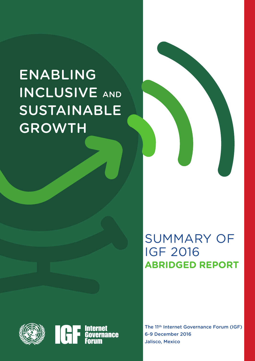# ENABLING INCLUSIVE AND SUSTAINABLE GROWTH



## SUMMARY OF IGF 2016 **ABRIDGED REPORT**

The 11th Internet Governance Forum (IGF) 6-9 December 2016 Jalisco, Mexico



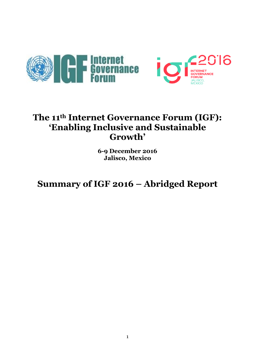



## **The 11th Internet Governance Forum (IGF): 'Enabling Inclusive and Sustainable Growth'**

**6-9 December 2016 Jalisco, Mexico**

**Summary of IGF 2016 – Abridged Report**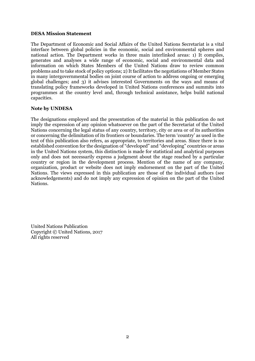#### **DESA Mission Statement**

The Department of Economic and Social Affairs of the United Nations Secretariat is a vital interface between global policies in the economic, social and environmental spheres and national action. The Department works in three main interlinked areas: 1) It compiles, generates and analyses a wide range of economic, social and environmental data and information on which States Members of the United Nations draw to review common problems and to take stock of policy options; 2) It facilitates the negotiations of Member States in many intergovernmental bodies on joint course of action to address ongoing or emerging global challenges; and 3) it advises interested Governments on the ways and means of translating policy frameworks developed in United Nations conferences and summits into programmes at the country level and, through technical assistance, helps build national capacities.

#### **Note by UNDESA**

The designations employed and the presentation of the material in this publication do not imply the expression of any opinion whatsoever on the part of the Secretariat of the United Nations concerning the legal status of any country, territory, city or area or of its authorities or concerning the delimitation of its frontiers or boundaries. The term 'country' as used in the text of this publication also refers, as appropriate, to territories and areas. Since there is no established convention for the designation of "developed" and "developing" countries or areas in the United Nations system, this distinction is made for statistical and analytical purposes only and does not necessarily express a judgment about the stage reached by a particular country or region in the development process. Mention of the name of any company, organization, product or website does not imply endorsement on the part of the United Nations. The views expressed in this publication are those of the individual authors (see acknowledgements) and do not imply any expression of opinion on the part of the United Nations.

United Nations Publication Copyright © United Nations, 2017 All rights reserved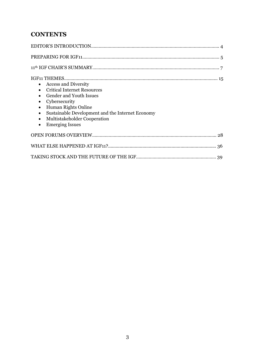## **CONTENTS**

| <b>Access and Diversity</b><br>$\bullet$<br><b>Critical Internet Resources</b><br>$\bullet$<br><b>Gender and Youth Issues</b><br>$\bullet$<br>Cybersecurity<br>$\bullet$<br><b>Human Rights Online</b><br>$\bullet$<br>Sustainable Development and the Internet Economy<br>$\bullet$<br>Multistakeholder Cooperation<br>$\bullet$<br><b>Emerging Issues</b><br>$\bullet$ |
|--------------------------------------------------------------------------------------------------------------------------------------------------------------------------------------------------------------------------------------------------------------------------------------------------------------------------------------------------------------------------|
|                                                                                                                                                                                                                                                                                                                                                                          |
|                                                                                                                                                                                                                                                                                                                                                                          |
|                                                                                                                                                                                                                                                                                                                                                                          |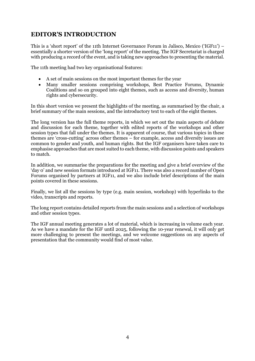## **EDITOR'S INTRODUCTION**

This is a 'short report' of the 11th Internet Governance Forum in Jalisco, Mexico ('IGF11') – essentially a shorter version of the 'long report' of the meeting. The IGF Secretariat is charged with producing a record of the event, and is taking new approaches to presenting the material.

The 11th meeting had two key organisational features:

- A set of main sessions on the most important themes for the year
- Many smaller sessions comprising workshops, Best Practice Forums, Dynamic Coalitions and so on grouped into eight themes, such as access and diversity, human rights and cybersecurity.

In this short version we present the highlights of the meeting, as summarised by the chair, a brief summary of the main sessions, and the introductory text to each of the eight themes.

The long version has the full theme reports, in which we set out the main aspects of debate and discussion for each theme, together with edited reports of the workshops and other session types that fall under the themes. It is apparent of course, that various topics in these themes are 'cross-cutting' across other themes – for example, access and diversity issues are common to gender and youth, and human rights. But the IGF organisers have taken care to emphasise approaches that are most suited to each theme, with discussion points and speakers to match.

In addition, we summarise the preparations for the meeting and give a brief overview of the 'day 0' and new session formats introduced at IGF11. There was also a record number of Open Forums organised by partners at IGF11, and we also include brief descriptions of the main points covered in these sessions.

Finally, we list all the sessions by type (e.g. main session, workshop) with hyperlinks to the video, transcripts and reports.

The long report contains detailed reports from the main sessions and a selection of workshops and other session types.

The IGF annual meeting generates a lot of material, which is increasing in volume each year. As we have a mandate for the IGF until 2025, following the 10-year renewal, it will only get more challenging to present the meetings, and we welcome suggestions on any aspects of presentation that the community would find of most value.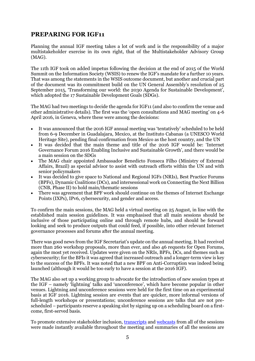### **PREPARING FOR IGF11**

Planning the annual IGF meeting takes a lot of work and is the responsibility of a major multistakeholder exercise in its own right, that of the Multistakeholder Advisory Group (MAG).

The 11th IGF took on added impetus following the decision at the end of 2015 of the World Summit on the Information Society (WSIS) to renew the IGF's mandate for a further 10 years. That was among the statements in the WSIS outcome document, but another and crucial part of the document was its commitment build on the UN General Assembly's resolution of 25 September 2015, 'Transforming our world: the 2030 Agenda for Sustainable Development', which adopted the 17 Sustainable Development Goals (SDGs).

The MAG had two meetings to decide the agenda for IGF11 (and also to confirm the venue and other administrative details). The first was the 'open consultations and MAG meeting' on 4-6 April 2016, in Geneva, where these were among the decisions:

- It was announced that the 2016 IGF annual meeting was 'tentatively' scheduled to be held from 6-9 December in Guadalajara, Mexico, at the Instituto Cabanas (a UNESCO World Heritage Site), pending final confirmation from Mexico as the host country, and the UN
- It was decided that the main theme and title of the 2016 IGF would be: 'Internet Governance Forum 2016 Enabling Inclusive and Sustainable Growth', and there would be a main session on the SDGs
- The MAG chair appointed Ambassador Benedicto Fonseca Filho (Ministry of External Affairs, Brazil) as special advisor to assist with outreach efforts within the UN and with senior policymakers
- It was decided to give space to National and Regional IGFs (NRIs), Best Practice Forums (BPFs), Dynamic Coalitions (DCs), and intersessional work on Connecting the Next Billion (CNB, Phase II) to hold main/thematic sessions
- There was agreement that BPF work should continue on the themes of Internet Exchange Points (IXPs), IPv6, cybersecurity, and gender and access.

To confirm the main sessions, the MAG held a virtual meeting on 25 August, in line with the established main session guidelines. It was emphasised that all main sessions should be inclusive of those participating online and through remote hubs, and should be forward looking and seek to produce outputs that could feed, if possible, into other relevant Internet governance processes and forums after the annual meeting.

There was good news from the IGF Secretariat's update on the annual meeting. It had received more than 260 workshop proposals, more than ever, and also 46 requests for Open Forums, again the most yet received. Updates were given on the NRIs, BPFs, DCs, and themes such as cybersecurity; for the BFIs it was agreed that increased outreach and a longer-term view is key to the success of the BPFs. It was noted that a new BPF on Anti-Corruption was indeed being launched (although it would be too early to have a session at the 2016 IGF).

The MAG also set up a working group to advocate for the introduction of new session types at the IGF – namely 'lightning' talks and 'unconference', which have become popular in other venues. Lightning and unconference sessions were held for the first time on an experimental basis at IGF 2016. Lightning session are events that are quicker, more informal versions of full-length workshops or presentations; unconference sessions are talks that are not prescheduled – participants reserve a speaking slot by signing up on a scheduling board on a firstcome, first-served basis.

To promote extensive stakeholder inclusion, [transcripts](https://www.intgovforum.org/multilingual/content/igf-2016-transcripts) an[d webcasts](https://www.intgovforum.org/multilingual/content/igf-2016-transcripts) from all of the sessions were made instantly available throughout the meeting and summaries of all the sessions are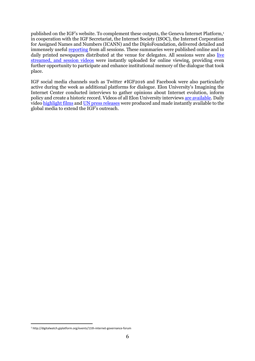published on the IGF's website. To complement these outputs, the Geneva Internet Platform,<sup>1</sup> in cooperation with the IGF Secretariat, the Internet Society (ISOC), the Internet Corporation for Assigned Names and Numbers (ICANN) and the DiploFoundation, delivered detailed and immensely useful [reporting](http://digitalwatch.giplatform.org/events/11th-internet-governance-forum) from all sessions. These summaries were published online and in daily printed newspapers distributed at the venue for delegates. All sessions were also live [streamed, and session videos](https://www.youtube.com/user/igf) were instantly uploaded for online viewing, providing even further opportunity to participate and enhance institutional memory of the dialogue that took place.

IGF social media channels such as Twitter #IGF2016 and Facebook were also particularly active during the week as additional platforms for dialogue. Elon University's Imagining the Internet Center conducted interviews to gather opinions about Internet evolution, inform policy and create a historic record. Videos of all Elon University interviews [are available.](http://www.elon.edu/e-web/imagining/event-coverage/global_igf_2016/default.xhtml) Daily vide[o highlight films](https://www.intgovforum.org/multilingual/content/11th-igf-daily-video-highlights) and [UN press releases](http://www.un.org/sustainabledevelopment/news/press-releases/) were produced and made instantly available to the global media to extend the IGF's outreach.

 $\overline{a}$ <sup>1</sup> http://digitalwatch.giplatform.org/events/11th-internet-governance-forum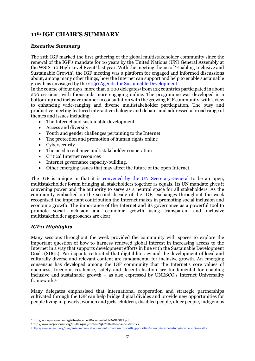## **11th IGF CHAIR'S SUMMARY**

#### *Executive Summary*

The 11th IGF marked the first gathering of the global multistakeholder community since the renewal of the IGF's mandate for 10 years by the United Nations (UN) General Assembly at the WSIS+10 High Level Event<sup>2</sup> last year. With the meeting theme of 'Enabling Inclusive and Sustainable Growth', the IGF meeting was a platform for engaged and informed discussions about, among many other things, how the Internet can support and help to enable sustainable growth as envisaged by the [2030 Agenda for Sustainable Development.](http://www.un.org/ga/search/view_doc.asp?symbol=A/RES/70/1&Lang=E)

In the course of four days, more than 2,000 delegates<sup>3</sup> from 123 countries participated in about 200 sessions, with thousands more engaging online. The programme was developed in a bottom-up and inclusive manner in consultation with the growing IGF community, with a view to enhancing wide-ranging and diverse multistakeholder participation. The busy and productive meeting featured interactive dialogue and debate, and addressed a broad range of themes and issues including:

- The Internet and sustainable development
- Access and diversity
- Youth and gender challenges pertaining to the Internet
- The protection and promotion of human rights online
- Cybersecurity
- The need to enhance multistakeholder cooperation
- Critical Internet resources
- Internet governance capacity-building.
- Other emerging issues that may affect the future of the open Internet.

The IGF is unique in that it is [convened by the UN Secretary-General](http://www.itu.int/net/wsis/docs2/tunis/off/6rev1.html) to be an open, multistakeholder forum bringing all stakeholders together as equals. Its UN mandate gives it convening power and the authority to serve as a neutral space for all stakeholders. As the community embarked on the second decade of the IGF, exchanges throughout the week recognised the important contribution the Internet makes in promoting social inclusion and economic growth. The importance of the Internet and its governance as a powerful tool to promote social inclusion and economic growth using transparent and inclusive multistakeholder approaches are clear.

#### *IGF11 Highlights*

 $\overline{a}$ 

Many sessions throughout the week provided the community with spaces to explore the important question of how to harness renewed global interest in increasing access to the Internet in a way that supports development efforts in line with the Sustainable Development Goals (SDGs). Participants reiterated that digital literacy and the development of local and culturally diverse and relevant content are fundamental for inclusive growth. An emerging consensus has developed among the IGF community that the Internet's core values of openness, freedom, resilience, safety and decentralisation are fundamental for enabling inclusive and sustainable growth – as also expressed by UNESCO's Internet Universality framework.<sup>4</sup>

Many delegates emphasised that international cooperation and strategic partnerships cultivated through the IGF can help bridge digital divides and provide new opportunities for people living in poverty, women and girls, children, disabled people, older people, indigenous

<sup>2</sup> http://workspace.unpan.org/sites/Internet/Documents/UNPAN96078.pdf

<sup>3</sup> http://www.intgovforum.org/multilingual/content/igf-2016-attendance-statistics

<sup>4</sup> http://www.unesco.org/new/en/communication-and-information/crosscutting-priorities/unesco-internet-study/internet-universality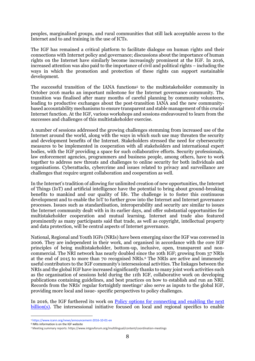peoples, marginalised groups, and rural communities that still lack acceptable access to the Internet and to and training in the use of ICTs.

The IGF has remained a critical platform to facilitate dialogue on human rights and their connections with Internet policy and governance; discussions about the importance of human rights on the Internet have similarly become increasingly prominent at the IGF. In 2016, increased attention was also paid to the importance of civil and political rights – including the ways in which the promotion and protection of these rights can support sustainable development.

The successful transition of the IANA functions<sup>5</sup> to the multistakeholder community in October 2016 marks an important milestone for the Internet governance community. The transition was finalised after many months of careful planning by community volunteers, leading to productive exchanges about the post-transition IANA and the new communitybased accountability mechanisms to ensure transparent and stable management of this crucial Internet function. At the IGF, various workshops and sessions endeavoured to learn from the successes and challenges of this multistakeholder exercise.

A number of sessions addressed the growing challenges stemming from increased use of the Internet around the world, along with the ways in which such use may threaten the security and development benefits of the Internet. Stakeholders stressed the need for cybersecurity measures to be implemented in cooperation with all stakeholders and international expert bodies, with the IGF providing a space for such collaborative efforts. Security professionals, law enforcement agencies, programmers and business people, among others, have to work together to address new threats and challenges to online security for both individuals and organisations. Cyberattacks, cybercrime and issues related to privacy and surveillance are challenges that require urgent collaboration and cooperation as well.

In the Internet's tradition of allowing for unlimited creation of new opportunities, the Internet of Things (IoT) and artificial intelligence have the potential to bring about ground-breaking benefits to mankind and our quality of life. The challenge is to foster this continuous development and to enable the IoT to further grow into the Internet and Internet governance processes. Issues such as standardisation, interoperability and security are similar to issues the Internet community dealt with in its earlier days, and offer substantial opportunities for multistakeholder cooperation and mutual learning. Internet and trade also featured prominently as many participants said that trade, as well as copyright, intellectual property and data protection, will be central aspects of Internet governance.

National, Regional and Youth IGFs (NRIs) have been emerging since the IGF was convened in 2006. They are independent in their work, and organised in accordance with the core IGF principles of being multistakeholder, bottom-up, inclusive, open, transparent and noncommercial. The NRI network has nearly doubled since the 10th IGF; growing from 37 NRIs at the end of 2015 to more than 70 recognised NRIs.<sup>6</sup> The NRIs are active and immensely useful contributors to the IGF community's intersessional activities. The linkages between the NRIs and the global IGF have increased significantly thanks to many joint work activities such as the organisation of sessions held during the 11th IGF, collaborative work on developing publications containing guidelines, and best practices on how to establish and run an NRI. Records from the NRIs' regular fortnightly meetings<sup>7</sup> also serve as inputs to the global IGF, providing more local and issue- specific perspectives to policy challenges.

In 2016, the IGF furthered its work on **Policy options** for connecting and enabling the next [billion\(s\).](https://www.intgovforum.org/multilingual/content/policy-options-for-connecting-and-enabling-the-next-billions-phase-ii) The intersessional initiative focused on local and regional specifics to enable

 $\overline{a}$ 

<sup>5</sup> https://www.icann.org/news/announcement-2016-10-01-en

<sup>6</sup> NRIs information is on the IGF website

<sup>7</sup> Meeting summary reports: https://www.intgovforum.org/multilingual/content/coordination-meetings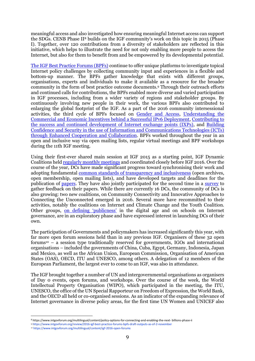meaningful access and also investigated how ensuring meaningful Internet access can support the SDGs. CENB Phase II<sup>8</sup> builds on the IGF community's work on this topic in 2015 (Phase I). Together, over 120 contributions from a diversity of stakeholders are reflected in this initiative, which helps to illustrate the need for not only enabling more people to access the Internet, but also for them to benefit from and be empowered by its developmental potential.

[The IGF Best Practice Forums \(BPFs\)](https://www.intgovforum.org/multilingual/content/best-practice-forums-4) continue to offer unique platforms to investigate topical Internet policy challenges by collecting community input and experiences in a flexible and bottom-up manner. The BPFs gather knowledge that exists with different groups, organisations, experts and individuals to make it available as a resource for the broader community in the form of best practice outcome documents.<sup>9</sup> Through their outreach efforts and continued calls for contributions, the BPFs enabled more diverse and varied participation in IGF processes, including from a wider variety of regions and stakeholder groups. By continuously involving new people in their work, the various BPFs also contributed to enlarging the global footprint of the IGF. As a part of the 2016 community intersessional activities, the third cycle of BPFs focused on [Gender and Access,](https://www.intgovforum.org/multilingual/content/bpf-gender-and-access) [Understanding the](https://www.intgovforum.org/multilingual/content/bpf-ipv6)  [Commercial and Economic Incentives behind a Successful IPv6 Deployment,](https://www.intgovforum.org/multilingual/content/bpf-ipv6) [Contributing to](https://www.intgovforum.org/multilingual/content/bpf-ixps)  [the success and continued development of Internet exchange points \(IXPs\),](https://www.intgovforum.org/multilingual/content/bpf-ixps) and [Building](https://www.intgovforum.org/multilingual/content/bpf-cybersecurity)  [Confidence and Security in the use of Information and Communications Technologies \(ICTs\)](https://www.intgovforum.org/multilingual/content/bpf-cybersecurity)  [through Enhanced Cooperation and Collaboration.](https://www.intgovforum.org/multilingual/content/bpf-cybersecurity) BPFs worked throughout the year in an open and inclusive way via open mailing lists, regular virtual meetings and BPF workshops during the 11th IGF meeting.

Using their first-ever shared main session at IGF 2015 as a starting point, IGF Dynamic Coalitions held [regularly monthly meetings](https://www.intgovforum.org/multilingual/content/dc-coordination-activities) and coordinated closely before IGF 2016. Over the course of the year, DCs have made significant progress toward synchronising their work and adopting fundamental [common standards of transparency and inclusiveness](https://www.intgovforum.org/multilingual/content/terms-of-reference-dynamic-coalition-coordination-group-dccg) (open archives, open membership, open mailing lists), and have developed targets and deadlines for the publication of **papers**. They have also jointly participated for the second time in a [survey](https://www.intgovforum.org/multilingual/content/surveys) to gather feedback on their papers. While there are currently 16 DCs, the community of DCs is also growing: two new coalitions, on Community Connectivity and Innovative Approaches to Connecting the Unconnected emerged in 2016. Several more have recommitted to their activities, notably the coalitions on Internet and Climate Change and the Youth Coalition. Other groups, [on defining '](http://intgovforum.org/multilingual/content/igf-2016-day-3-room-10-proposed-dynamic-coalition-on-publicness)publicness' in the digital age and on schools on Internet governance, are in an exploratory phase and have expressed interest in launching DCs of their own.

The participation of Governments and policymakers has increased significantly this year, with far more open forum sessions held than in any previous IGF. Organisers of these 32 open forums<sup>10</sup> – a session type traditionally reserved for governments, IGOs and international organisations – included the governments of China, Cuba, Egypt, Germany, Indonesia, Japan and Mexico, as well as the African Union, European Commission, Organisation of American States (OAS), OECD, ITU and UNESCO, among others. A delegation of 12 members of the European Parliament, the largest ever to come to an IGF, was also in attendance.

The IGF brought together a number of UN and intergovernmental organisations as organisers of Day 0 events, open forums, and workshops. Over the course of the week, the World Intellectual Property Organisation (WIPO), which participated in the meeting, the ITU, UNESCO, the office of the UN Special Rapporteur on Freedom of Expression, the World Bank, and the OECD all held or co-organised sessions. As an indicator of the expanding relevance of Internet governance in diverse policy areas, for the first time UN Women and UNICEF also

 $\overline{a}$ 

<sup>8</sup> https://www.intgovforum.org/multilingual/content/policy-options-for-connecting-and-enabling-the-next- billions-phase-ii

<sup>9</sup> https://www.intgovforum.org/review/2016-igf-best-practice-forums-bpfs-draft-outputs-as-of-2-november

<sup>10</sup> https://www.intgovforum.org/multilingual/content/igf-2016-open-forums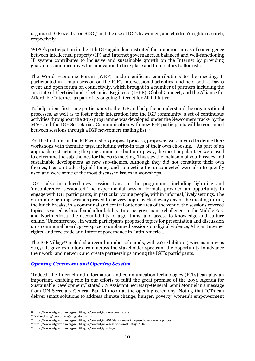organised IGF events - on SDG 5 and the use of ICTs by women, and children's rights research, respectively.

WIPO's participation in the 11th IGF again demonstrated the numerous areas of convergence between intellectual property (IP) and Internet governance. A balanced and well-functioning IP system contributes to inclusive and sustainable growth on the Internet by providing guarantees and incentives for innovation to take place and for creators to flourish.

The World Economic Forum (WEF) made significant contributions to the meeting. It participated in a main session on the IGF's intersessional activities, and held both a Day 0 event and open forum on connectivity, which brought in a number of partners including the Institute of Electrical and Electronics Engineers (IEEE), Global Connect, and the Alliance for Affordable Internet, as part of its ongoing Internet for All initiative.

To help orient first-time participants to the IGF and help them understand the organisational processes, as well as to foster their integration into the IGF community, a set of continuous activities throughout the 2016 programme was developed under the Newcomers track<sup>11</sup> by the MAG and the IGF Secretariat. Communication with new IGF participants will be continued between sessions through a IGF newcomers mailing list.<sup>12</sup>

For the first time in the IGF workshop proposal process, proposers were invited to define their workshops with thematic tags, including write-in tags of their own choosing.<sup>13</sup> As part of an approach to structuring the programme in a bottom-up way, the most popular tags were used to determine the sub-themes for the 2016 meeting. This saw the inclusion of youth issues and sustainable development as new sub-themes. Although they did not constitute their own themes, tags on trade, digital literacy and connecting the unconnected were also frequently used and were some of the most discussed issues in workshops.

IGF11 also introduced new session types in the programme, including lightning and 'unconference' sessions.<sup>14</sup> The experimental session formats provided an opportunity to engage with IGF participants, in particular young people, within informal, lively settings. The 20-minute lighting sessions proved to be very popular. Held every day of the meeting during the lunch breaks, in a communal and central outdoor area of the venue, the sessions covered topics as varied as broadband affordability, Internet governance challenges in the Middle East and North Africa, the accountability of algorithms, and access to knowledge and culture online. 'Unconference', in which participants proposed topics for presentation and discussion on a communal board, gave space to unplanned sessions on digital violence, African Internet rights, and free trade and Internet governance in Latin America.

The IGF Village<sup>15</sup> included a record number of stands, with 40 exhibitors (twice as many as 2015). It gave exhibitors from across the stakeholder spectrum the opportunity to advance their work, and network and create partnerships among the IGF's participants.

#### *[Opening Ceremony and Opening Session](http://intgovforum.org/multilingual/content/igf-2016-day-1-main-hall-setting-the-scene-orientation-opening-ceremony)*

"Indeed, the Internet and information and communication technologies (ICTs) can play an important, enabling role in our efforts to fulfil the great promise of the 2030 Agenda for Sustainable Development," stated UN Assistant Secretary-General Lenni Montiel in a message from UN Secretary-General Ban Ki-moon at the opening ceremony. Noting that ICTs can deliver smart solutions to address climate change, hunger, poverty, women's empowerment

 $\overline{a}$ <sup>11</sup> https://www.intgovforum.org/multilingual/content/igf-newcomers-track

<sup>12</sup> Mailing list: igfnewcomers@intgovforum.org

<sup>13</sup> https://www.intgovforum.org/multilingual/content/igf-2016-faqs-on-workshop-and-open-forum- proposals

<sup>14</sup> https://www.intgovforum.org/multilingual/content/new-session-formats-at-igf-2016

<sup>15</sup> https://www.intgovforum.org/multilingual/content/igf-village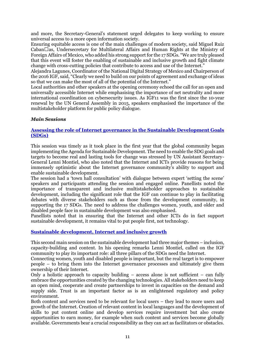and more, the Secretary-General's statement urged delegates to keep working to ensure universal access to a more open information society.

Ensuring equitable access is one of the main challenges of modern society, said Miguel Ruiz Caban $\square$ as, Undersecretary for Multilateral Affairs and Human Rights at the Ministry of Foreign Affairs of Mexico, who added his strong support for the 17 SDGs. "We are truly pleased that this event will foster the enabling of sustainable and inclusive growth and fight climate change with cross-cutting policies that contribute to access and use of the Internet."

Alejandra Lagunes, Coordinator of the National Digital Strategy of Mexico and Chairperson of the 2016 IGF, said, "Clearly we need to build on our points of agreement and exchange of ideas so that we can make the most of all of the potential of the Internet."

Local authorities and other speakers at the opening ceremony echoed the call for an open and universally accessible Internet while emphasising the importance of net neutrality and more international coordination on cybersecurity issues. As IGF11 was the first since the 10-year renewal by the UN General Assembly in 2015, speakers emphasised the importance of the multistakeholder platform for public policy dialogue.

#### *Main Sessions*

#### **[Assessing the role of Internet governance in the Sustainable Development Goals](http://www.intgovforum.org/multilingual/content/igf-2016-day-1-main-hall-assessing-the-role-of-ig-in-the-sdgs)  [\(SDGs\)](http://www.intgovforum.org/multilingual/content/igf-2016-day-1-main-hall-assessing-the-role-of-ig-in-the-sdgs)**

This session was timely as it took place in the first year that the global community began implementing the Agenda for Sustainable Development. The need to enable the SDG goals and targets to become real and lasting tools for change was stressed by UN Assistant Secretary-General Lenni Montiel, who also noted that the Internet and ICTs provide reasons for being immensely optimistic about the Internet governance community's ability to support and enable sustainable development.

The session had a 'town hall consultation' with dialogue between expert 'setting the scene' speakers and participants attending the session and engaged online. Panellists noted the importance of transparent and inclusive multistakeholder approaches to sustainable development, including the significant role that the IGF can continue to play in facilitating debates with diverse stakeholders such as those from the development community, in supporting the 17 SDGs. The need to address the challenges women, youth, and older and disabled people face in sustainable development was also emphasised.

Panellists noted that in ensuring that the Internet and other ICTs do in fact support sustainable development, it remains vital to put people first, not technology.

#### **[Sustainable development, Internet and inclusive growth](http://www.intgovforum.org/multilingual/content/igf-2016-day-2-main-hall-sustainable-development-internet-and-inclusive-growth)**

This second main session on the sustainable development had three major themes – inclusion, capacity-building and content. In his opening remarks Lenni Montiel, called on the IGF community to play its important role: all three pillars of the SDGs need the Internet.

Connecting women, youth and disabled people is important, but the real target is to empower people – to bring them into the Internet governance processes and ultimately give them ownership of their Internet.

Only a holistic approach to capacity building  $-$  access alone is not sufficient  $-$  can fully embrace the opportunities created by the changing technologies. All stakeholders need to keep an open mind, cooperate and create partnerships to invest in capacities on the demand and supply side. Trust is an important factor as is an enlightened regulatory and policy environment.

Both content and services need to be relevant for local users – they lead to more users and growth of the Internet. Creation of relevant content in local languages and the development of skills to put content online and develop services require investment but also create opportunities to earn money, for example when such content and services become globally available. Governments bear a crucial responsibility as they can act as facilitators or obstacles.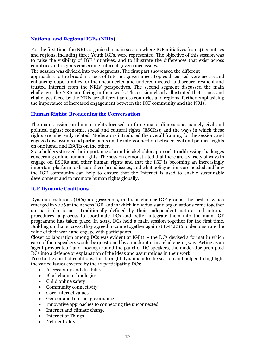#### **[National and Regional IGFs \(NRIs\)](http://www.intgovforum.org/multilingual/content/igf-2016-day-2-main-hall-national-and-regional-igfs)**

For the first time, the NRIs organised a main session where IGF initiatives from 41 countries and regions, including three Youth IGFs, were represented. The objective of this session was to raise the visibility of IGF initiatives, and to illustrate the differences that exist across countries and regions concerning Internet governance issues.

The session was divided into two segments. The first part showcased the different

approaches to the broader issues of Internet governance. Topics discussed were access and enhancing opportunities for the unconnected and underconnected, and secure, resilient and trusted Internet from the NRIs' perspectives. The second segment discussed the main challenges the NRIs are facing in their work. The session clearly illustrated that issues and challenges faced by the NRIs are different across countries and regions, further emphasising the importance of increased engagement between the IGF community and the NRIs.

#### **[Human Rights: Broadening the Conversation](http://www.intgovforum.org/multilingual/content/igf-2016-day-3-main-hall-human-rights-broadening-the-conversation)**

The main session on human rights focused on three major dimensions, namely civil and political rights; economic, social and cultural rights (ESCRs); and the ways in which these rights are inherently related. Moderators introduced the overall framing for the session, and engaged discussants and participants on the interconnection between civil and political rights on one hand, and ESCRs on the other.

Stakeholders stressed the importance of a multistakeholder approach to addressing challenges concerning online human rights. The session demonstrated that there are a variety of ways to engage on ESCRs and other human rights and that the IGF is becoming an increasingly important platform to discuss these broad issues, and what policy actions are needed and how the IGF community can help to ensure that the Internet is used to enable sustainable development and to promote human rights globally.

#### **[IGF Dynamic Coalitions](http://www.intgovforum.org/multilingual/content/igf-2016-day-3-main-hall-igf-dynamic-coalitions)**

Dynamic coalitions (DCs) are grassroots, multistakeholder IGF groups, the first of which emerged in 2006 at the Athens IGF, and in which individuals and organisations come together on particular issues. Traditionally defined by their independent nature and internal procedures, a process to coordinate DCs and better integrate them into the main IGF programme has taken place. In 2015, DCs held a main session together for the first time. Building on that success, they agreed to come together again at IGF 2016 to demonstrate the value of their work and engage with participants.

Closer collaboration among DCs was evident at IGF11 – the DCs devised a format in which each of their speakers would be questioned by a moderator in a challenging way. Acting as an 'agent provocateur' and moving around the panel of DC speakers, the moderator prompted DCs into a defence or explanation of the ideas and assumptions in their work.

True to the spirit of coalitions, this brought dynamism to the session and helped to highlight the varied issues covered by the 12 participating DCs:

- Accessibility and disability
- Blockchain technologies
- Child online safety
- Community connectivity
- Core Internet values
- Gender and Internet governance
- Innovative approaches to connecting the unconnected
- Internet and climate change
- Internet of Things
- Net neutrality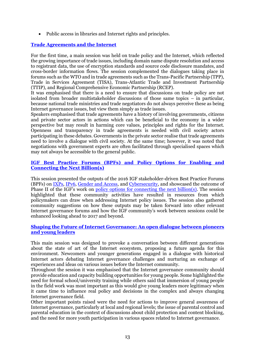Public access in libraries and Internet rights and principles.

#### **[Trade Agreements](http://www.intgovforum.org/multilingual/content/igf-2016-day-3-main-hall-trade-agreements-and-the-internet) and the Internet**

For the first time, a main session was held on trade policy and the Internet, which reflected the growing importance of trade issues, including domain name dispute resolution and access to registrant data, the use of encryption standards and source code disclosure mandates, and cross-border information flows. The session complemented the dialogues taking place in forums such as the WTO and in trade agreements such as the Trans-Pacific Partnership (TPP), Trade in Services Agreement (TISA), Trans-Atlantic Trade and Investment Partnership (TTIP), and Regional Comprehensive Economic Partnership (RCEP).

It was emphasised that there is a need to ensure that discussions on trade policy are not isolated from broader multistakeholder discussions of those same topics – in particular, because national trade ministries and trade negotiators do not always perceive these as being Internet governance issues, but view them simply as trade issues.

Speakers emphasised that trade agreements have a history of involving governments, citizens and private sector actors in actions which can be beneficial to the economy in a wider perspective but may result in harming core values, principles and rights for the Internet. Openness and transparency in trade agreements is needed with civil society actors participating in these debates. Governments in the private sector realise that trade agreements need to involve a dialogue with civil society. At the same time; however, it was noted that negotiations with government experts are often facilitated through specialised spaces which may not always be accessible to the general public.

#### **[IGF Best Practice Forums \(BPFs\) and Policy Options for Enabling and](http://intgovforum.org/multilingual/content/igf-2016-day-4-main-hall-igf-bpfs-and-policy-options-for-connecting-the-next-billions)  [Connecting the Next Billion\(s\)](http://intgovforum.org/multilingual/content/igf-2016-day-4-main-hall-igf-bpfs-and-policy-options-for-connecting-the-next-billions)**

This session presented the outputs of the 2016 IGF stakeholder-driven Best Practice Forums (BPFs) on [IXPs,](http://intgovforum.org/multilingual/content/igf-2016-day-3-room-7-bpf-on-ixps) [IPv6,](http://intgovforum.org/multilingual/content/igf-2016-day-2-room-1-bpf-on-ipv6) [Gender and Access,](http://www.intgovforum.org/multilingual/content/igf-2016-day-2-room-9-bpf-gender-and-access) and [Cybersecurity,](http://intgovforum.org/multilingual/content/igf-2016-day-3-room-9-bpf-on-cybersecurity) and showcased the outcome of Phase II of the IGF's work on [policy options for connecting the next billion\(s\).](http://intgovforum.org/multilingual/content/igf-2016-day-4-main-hall-igf-bpfs-and-policy-options-for-connecting-the-next-billions) The session highlighted that these community activities have resulted in resources from which policymakers can draw when addressing Internet policy issues. The session also gathered community suggestions on how these outputs may be taken forward into other relevant Internet governance forums and how the IGF community's work between sessions could be enhanced looking ahead to 2017 and beyond.

#### **[Shaping the Future of Internet Governance: An open dialogue between pioneers](http://intgovforum.org/multilingual/content/igf-2016-day-4-main-hall-shaping-the-future-of-internet-governance)  [and young leaders](http://intgovforum.org/multilingual/content/igf-2016-day-4-main-hall-shaping-the-future-of-internet-governance)**

This main session was designed to provoke a conversation between different generations about the state of art of the Internet ecosystem, proposing a future agenda for this environment. Newcomers and younger generations engaged in a dialogue with historical Internet actors debating Internet governance challenges and nurturing an exchange of experiences and ideas on various issues before the Internet community.

Throughout the session it was emphasised that the Internet governance community should provide education and capacity building opportunities for young people. Some highlighted the need for formal school/university training while others said that immersion of young people in the field work was most important as this would give young leaders more legitimacy when it came time to influence real policy and decisions in the complex and always changing Internet governance field.

Other important points raised were the need for actions to improve general awareness of Internet governance, particularly at local and regional levels; the issue of parental control and parental education in the context of discussions about child protection and content blocking, and the need for more youth participation in various spaces related to Internet governance.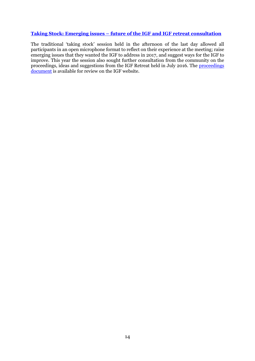#### **Taking Stock: Emerging issues – [future of the IGF and IGF retreat consultation](http://intgovforum.org/multilingual/content/igf-2016-day-4-main-hall-taking-stock-emerging-issues-future-of-the-igf)**

The traditional 'taking stock' session held in the afternoon of the last day allowed all participants in an open microphone format to reflect on their experience at the meeting; raise emerging issues that they wanted the IGF to address in 2017, and suggest ways for the IGF to improve. This year the session also sought further consultation from the community on the proceedings, ideas and suggestions from the IGF Retreat held in July 2016. The [proceedings](https://www.intgovforum.org/review/igf-retreat-proceedings-ideas-and-suggestions/)  [document](https://www.intgovforum.org/review/igf-retreat-proceedings-ideas-and-suggestions/) is available for review on the IGF website.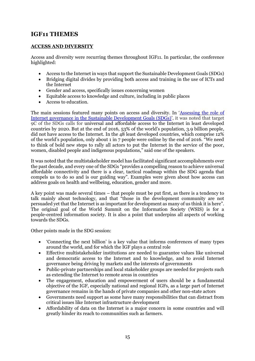## **IGF11 THEMES**

#### **ACCESS AND DIVERSITY**

Access and diversity were recurring themes throughout IGF11. In particular, the conference highlighted:

- Access to the Internet in ways that support the Sustainable Development Goals (SDGs)
- Bridging digital divides by providing both access and training in the use of ICTs and the Internet
- Gender and access, specifically issues concerning women
- Equitable access to knowledge and culture, including in public places
- Access to education.

The main sessions featured many points on access and diversity. In '[Assessing the role of](http://intgovforum.org/multilingual/content/igf-2016-day-1-main-hall-assessing-the-role-of-ig-in-the-sdgs)  Internet [governance in the Sustainable Development Goals \(SDGs\)](http://intgovforum.org/multilingual/content/igf-2016-day-1-main-hall-assessing-the-role-of-ig-in-the-sdgs)', it was noted that target 9C of the SDGs calls for universal and affordable access to the Internet in least developed countries by 2020. But at the end of 2016, 53% of the world's population, 3.9 billion people, did not have access to the Internet. In the 48 least developed countries, which comprise 12% of the world's population, only about 1 in 7 people were online by the end of 2016. "We need to think of bold new steps to rally all actors to put the Internet in the service of the poor, women, disabled people and indigenous populations," said one of the speakers.

It was noted that the multistakeholder model has facilitated significant accomplishments over the past decade, and every one of the SDGs "provides a compelling reason to achieve universal affordable connectivity and there is a clear, tactical roadmap within the SDG agenda that compels us to do so and is our guiding way". Examples were given about how access can address goals on health and wellbeing, education, gender and more.

A key point was made several times – that people must be put first, as there is a tendency to talk mainly about technology, and that "those in the development community are not persuaded yet that the Internet is as important for development as many of us think it is here". The original goal of the World Summit on the Information Society (WSIS) is for a people-centred information society. It is also a point that underpins all aspects of working towards the SDGs.

Other points made in the SDG session:

- 'Connecting the next billion' is a key value that informs conferences of many types around the world, and for which the IGF plays a central role
- Effective multistakeholder institutions are needed to guarantee values like universal and democratic access to the Internet and to knowledge, and to avoid Internet governance being driving by markets and the interests of governments
- Public-private partnerships and local stakeholder groups are needed for projects such as extending the Internet to remote areas in countries
- The engagement, education and empowerment of users should be a fundamental objective of the IGF, especially national and regional IGFs, as a large part of Internet governance remains in the hands of private companies and other non-state actors
- Governments need support as some have many responsibilities that can distract from critical issues like Internet infrastructure development
- Affordability of data on the Internet is a major concern in some countries and will greatly hinder its reach to communities such as farmers.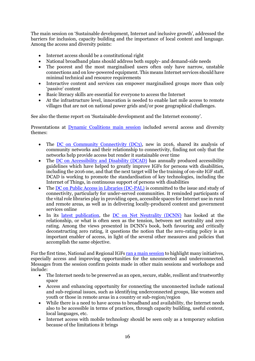The main session on 'Sustainable development, Internet and inclusive growth', addressed the barriers for inclusion, capacity building and the importance of local content and language. Among the access and diversity points:

- Internet access should be a constitutional right
- National broadband plans should address both supply- and demand-side needs
- The poorest and the most marginalised users often only have narrow, unstable connections and on low-powered equipment. This means Internet services should have minimal technical and resource requirements
- Interactive content and services can empower marginalised groups more than only 'passive' content
- Basic literacy skills are essential for everyone to access the Internet
- At the infrastructure level, innovation is needed to enable last mile access to remote villages that are not on national power grids and/or pose geographical challenges.

See also the theme report on 'Sustainable development and the Internet economy'.

Presentations at [Dynamic Coalitions main session](http://intgovforum.org/multilingual/content/igf-2016-day-3-main-hall-igf-dynamic-coalitions) included several access and diversity themes:

- The [DC on Community Connectivity \(DC3\),](http://intgovforum.org/multilingual/content/igf-2016-day-2-room-9-dc-on-community-connectivity) new in 2016, shared its analysis of community networks and their relationship to connectivity, finding not only that the networks help provide access but render it sustainable over time
- The <u>DC on Accessibility and Disability (DCAD)</u> has annually produced accessibility guidelines which have helped to greatly improve IGFs for persons with disabilities, including the 2016 one, and that the next target will be the training of on-site IGF staff. DCAD is working to promote the standardisation of key technologies, including the Internet of Things, in continuous support of persons with disabilities
- The [DC on Public Access in Libraries \(DC-PAL\)](http://intgovforum.org/multilingual/content/igf-2016-day-2-room-8-dc-on-public-access-in-libraries) is committed to the issue and study of connectivity, particularly for under-served communities. It reminded participants of the vital role libraries play in providing open, accessible spaces for Internet use in rural and remote areas, as well as in delivering locally-produced content and government services online
- In its [latest publication,](http://www.springer.com/us/book/9783319264240) the [DC on Net Neutrality \(DCNN\)](http://intgovforum.org/multilingual/content/igf-2016-day-2-room-2-dc-on-net-neutrality) has looked at the relationship, or what is often seen as the tension, between net neutrality and zero rating. Among the views presented in DCNN's book, both favouring and critically deconstructing zero rating, it questions the notion that the zero-rating policy is an important enabler of access, in light of the several other measures and policies that accomplish the same objective.

For the first time, National and Regional IGFs [ran a main session](http://intgovforum.org/multilingual/content/igf-2016-day-2-main-hall-national-and-regional-igfs) to highlight many initiatives, especially access and improving opportunities for the unconnected and underconnected. Messages from the session confirm points made in other main sessions and workshops and include:

- The Internet needs to be preserved as an open, secure, stable, resilient and trustworthy space
- Access and enhancing opportunity for connecting the unconnected include national and sub-regional issues, such as identifying underconnected groups, like women and youth or those in remote areas in a country or sub-region/region
- While there is a need to have access to broadband and availability, the Internet needs also to be accessible in terms of practices, through capacity building, useful content, local languages, etc.
- Internet access with mobile technology should be seen only as a temporary solution because of the limitations it brings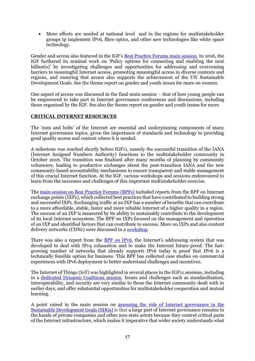More efforts are needed at national level and in the regions for multistakeholder groups tp implement IPv6, fibre optics, and other new technologies like white space technology.

Gender and access also featured in the IGF's [Best Practice Forums main session.](http://intgovforum.org/multilingual/content/igf-2016-day-4-main-hall-igf-bpfs-and-policy-options-for-connecting-the-next-billions) In 2016, the IGF furthered its seminal work on 'Policy options for connecting and enabling the next billion(s)' by investigating challenges and opportunities for addressing and overcoming barriers to meaningful Internet access, promoting meaningful access in diverse contexts and regions, and ensuring that access also supports the achievement of the UN Sustainable Development Goals. See the theme report on gender and youth issues for more on women.

One aspect of access was discussed in the final main session – that of how young people can be empowered to take part in Internet governance conferences and discussions, including those organised by the IGF. See also the theme report on gender and youth issues for more.

#### **CRITICAL INTERNET RESOURCES**

The 'nuts and bolts' of the Internet are essential and underpinning components of many Internet governance topics, given the importance of standards and technology to providing good quality access and content where it is needed.

A milestone was reached shortly before IGF11, namely the successful transition of the IANA (Internet Assigned Numbers Authority) functions to the multistakeholder community in October 2016. The transition was finalised after many months of planning by community volunteers, leading to productive exchanges about the post-transition IANA and the new community-based accountability mechanisms to ensure transparent and stable management of this crucial Internet function. At the IGF, various workshops and sessions endeavoured to learn from the successes and challenges of this important multistakeholder exercise.

The [main session on Best Practice Forums \(BPFs\)](http://intgovforum.org/multilingual/content/igf-2016-day-4-main-hall-igf-bpfs-and-policy-options-for-connecting-the-next-billions) included reports from the BPF on Internet exchange points (IXPs), which collected best practices that have contributed to building strong and successful IXPs. Exchanging traffic at an IXP has a number of benefits that can contribute to a more affordable, stable, faster and more reliable Internet of a higher quality in a region. The success of an IXP is measured by its ability to sustainably contribute to the development of its local Internet ecosystem. The BPF on IXPs focused on the management and operation of an IXP and identified factors that can contribute to success. More on IXPs and also content delivery networks (CDNs) were discussed in a [workshop.](http://intgovforum.org/multilingual/content/igf-2016-day-3-room-3-ws47-content-delivery-alternatives-intertwining-of-ixps-and-cdns)

There was also a report from the **BPF** on IPv6, the Internet's addressing system that was developed to deal with IPv4 exhaustion and to make the Internet future-proof. The fastgrowing number of networks that already supports IPv6 today is proof that IPv6 is a technically feasible option for business. This BPF has collected case studies on commercial experiences with IPv6 deployment to better understand challenges and incentives.

The Internet of Things (IoT) was highlighted in several places in the IGF11 sessions, including in a [dedicated Dynamic Coalitions session.](http://www.intgovforum.org/multilingual/content/igf-2016-day-1-room-6-dc-on-the-internet-of-things) Issues and challenges such as standardisation, interoperability, and security are very similar to those the Internet community dealt with in earlier days, and offer substantial opportunities for multistakeholder cooperation and mutual learning.

A point raised in the main session on assessing the role of [Internet governance in the](http://intgovforum.org/multilingual/content/igf-2016-day-1-main-hall-assessing-the-role-of-ig-in-the-sdgs)  [Sustainable Development Goals \(SDGs\)](http://intgovforum.org/multilingual/content/igf-2016-day-1-main-hall-assessing-the-role-of-ig-in-the-sdgs) is that a large part of Internet governance remains in the hands of private companies and other non-state actors because they control critical parts of the Internet infrastructure, which makes it imperative that wider society understands what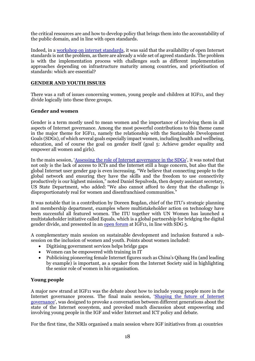the critical resources are and how to develop policy that brings them into the accountability of the public domain, and in line with open standards.

Indeed, in a [workshop on internet standards,](http://intgovforum.org/multilingual/content/igf-2016-day-4-room-1-ws240-building-trust-and-confidence-implement-internet-standards) it was said that the availability of open Internet standards is not the problem, as there are already a wide set of agreed standards. The problem is with the implementation process with challenges such as different implementation approaches depending on infrastructure maturity among countries, and prioritisation of standards: which are essential?

#### **GENDER AND YOUTH ISSUES**

There was a raft of issues concerning women, young people and children at IGF11, and they divide logically into these three groups.

#### **Gender and women**

Gender is a term mostly used to mean women and the importance of involving them in all aspects of Internet governance. Among the most powerful contributions to this theme came in the major theme for IGF11, namely the relationship with the Sustainable Development Goals (SDGs), of which several goals especially impact women, including health and wellbeing, education, and of course the goal on gender itself (goal 5: Achieve gender equality and empower all women and girls).

In the main session, '[Assessing the role of Internet governance in the SDGs](http://intgovforum.org/multilingual/content/igf-2016-day-1-main-hall-assessing-the-role-of-ig-in-the-sdgs)', it was noted that not only is the lack of access to ICTs and the Internet still a huge concern, but also that the global Internet user gender gap is even increasing. "We believe that connecting people to the global network and ensuring they have the skills and the freedom to use connectivity productively is our highest mission," noted Daniel Sepulveda, then deputy assistant secretary, US State Department, who added: "We also cannot afford to deny that the challenge is disproportionately real for women and disenfranchised communities."

It was notable that in a contribution by Doreen Bogdan, chief of the ITU's strategic planning and membership department, examples where multistakeholder action on technology have been successful all featured women. The ITU together with UN Women has launched a multistakeholder initiative called Equals, which is a global partnership for bridging the digital gender divide, and presented in an [open forum](http://intgovforum.org/multilingual/content/igf-2016-day-4-room-6-of30-un-women) at IGF11, in line with SDG 5.

A complementary main session on sustainable development and inclusion featured a subsession on the inclusion of women and youth. Points about women included:

- Digitising government services helps bridge gaps
- Women can be empowered with training in IT
- Publicising pioneering female Internet figures such as China's Qihang Hu (and leading by example) is important, as a speaker from the Internet Society said in highlighting the senior role of women in his organisation.

#### **Young people**

A major new strand at IGF11 was the debate about how to include young people more in the Internet governance process. The final main session, '[Shaping the future of Internet](http://intgovforum.org/multilingual/content/igf-2016-day-4-main-hall-shaping-the-future-of-internet-governance)  [governance](http://intgovforum.org/multilingual/content/igf-2016-day-4-main-hall-shaping-the-future-of-internet-governance)', was designed to provoke a conversation between different generations about the state of the Internet ecosystem, and provoked much discussion about empowering and involving young people in the IGF and wider Internet and ICT policy and debate.

For the first time, the NRIs organised a main session where IGF initiatives from 41 countries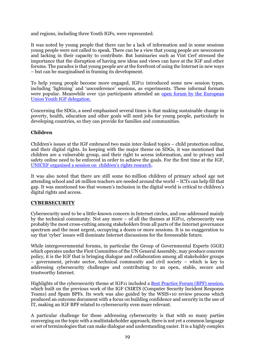and regions, including three Youth IGFs, were represented.

It was noted by young people that there can be a lack of information and in some sessions young people were not called to speak. There can be a view that young people are newcomers and lacking in their capacity to contribute. But luminaries such as Vint Cerf stressed the importance that the disruption of having new ideas and views can have at the IGF and other forums. The paradox is that young people are at the forefront of using the Internet in new ways – but can be marginalised in framing its development.

To help young people become more engaged, IGF11 introduced some new session types, including 'lightning' and 'unconference' sessions, as experiments. These informal formats were popular. Meanwhile over 150 participants attended an [open forum by the European](http://intgovforum.org/multilingual/content/igf-2016-day-1-room-10-of53-youth-igf-eu-delegation)  [Union Youth IGF delegation.](http://intgovforum.org/multilingual/content/igf-2016-day-1-room-10-of53-youth-igf-eu-delegation)

Concerning the SDGs, a need emphasised several times is that making sustainable change in poverty, health, education and other goals will need jobs for young people, particularly in developing countries, so they can provide for families and communities.

#### **Children**

Children's issues at the IGF embraced two main inter-linked topics – child protection online, and their digital rights. In keeping with the major theme on SDGs, it was mentioned that children are a vulnerable group, and their right to access information, and to privacy and safety online need to be enforced in order to achieve the goals. For the first time at the IGF, [UNICEF organised a session on children's rights research](http://intgovforum.org/multilingual/content/igf-2016-day-0-room-3-unicef-global-kids-online-from-research-on-children%E2%80%99s-rights-in-the).

It was also noted that there are still some 60 million children of primary school age not attending school and 26 million teachers are needed around the world – ICTs can help fill that gap. It was mentioned too that women's inclusion in the digital world is critical to children's digital rights and access.

#### **CYBERSECURITY**

Cybersecurity used to be a little-known concern in Internet circles, and one addressed mainly by the technical community. Not any more  $-$  of all the themes at IGF11, cybersecurity was probably the most cross-cutting among stakeholders from all parts of the Internet governance spectrum and the most urgent, occupying a dozen or more sessions. It is no exaggeration to say that 'cyber' issues will dominate Internet discussions for the foreseeable future.

While intergovernmental forums, in particular the Group of Governmental Experts (GGE) which operates under the First Committee of the UN General Assembly, may produce concrete policy, it is the IGF that is bringing dialogue and collaboration among all stakeholder groups – government, private sector, technical community and civil society – which is key to addressing cybersecurity challenges and contributing to an open, stable, secure and trustworthy Internet.

Highlights of the cybersecurity theme at IGF11 included a **Best Practice Forum (BPF) session**, which built on the previous work of the IGF CSIRTS (Computer Security Incident Response Teams) and Spam BPFs. Its work was also guided by the WSIS+10 review process which produced an outcome document with a focus on building confidence and security in the use of IT, making an IGF BPF related to cybersecurity even more relevant.

A particular challenge for those addressing cybersecurity is that with so many parties converging on the topic with a multistakeholder approach, there is not yet a common language or set of terminologies that can make dialogue and understanding easier. It is a highly complex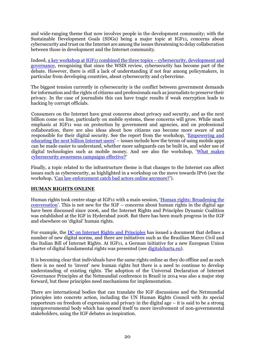and wide-ranging theme that now involves people in the development community; with the Sustainable Development Goals (SDGs) being a major topic at IGF11, concerns about cybersecurity and trust on the Internet are among the issues threatening to delay collaboration between those in development and the Internet community.

Indeed[, a key workshop at IGF11 combined the three topics](http://intgovforum.org/multilingual/content/igf-2016-day-4-room-3-ws115-how-do-cybersecurity-development-and-governance-interact) – cybersecurity, development and [governance,](http://intgovforum.org/multilingual/content/igf-2016-day-4-room-3-ws115-how-do-cybersecurity-development-and-governance-interact) recognising that since the WSIS review, cybersecurity has become part of the debate. However, there is still a lack of understanding if not fear among policymakers, in particular from developing countries, about cybersecurity and cybercrime.

The biggest tension currently in cybersecurity is the conflict between government demands for information and the rights of citizens and professionals such as journalists to preserve their privacy. In the case of journalists this can have tragic results if weak encryption leads to hacking by corrupt officials.

Consumers on the Internet have great concerns about privacy and security, and as the next billion come on line, particularly on mobile systems, these concerns will grow. While much emphasis at IGF11 was on protection by government and agencies, and on professional collaboration, there are also ideas about how citizens can become more aware of and responsible for their digital security. See the report from the workshop, '[Empowering and](http://intgovforum.org/multilingual/content/igf-2016-day-3-room-4-ws111-empowering-and-educating-the-next-billions-of-internet-users)  [educating the next billion Internet users](http://intgovforum.org/multilingual/content/igf-2016-day-3-room-4-ws111-empowering-and-educating-the-next-billions-of-internet-users)' – issues include how the terms of using mobile apps can be made easier to understand, whether more safeguards can be built in, and wider use of digital technologies such as mobile money. And see also the workshop, '[What makes](http://intgovforum.org/multilingual/content/igf-2016-day-3-room-3-ws113-what-makes-cybersecurity-awareness-campaigns-effective)  [cybersecurity awareness campaigns effective?](http://intgovforum.org/multilingual/content/igf-2016-day-3-room-3-ws113-what-makes-cybersecurity-awareness-campaigns-effective)'

Finally, a topic related to the infrastructure theme is that changes to the Internet can affect issues such as cybersecurity, as highlighted in a workshop on the move towards IPv6 (see the workshop, '[Can law enforcement catch bad actors online anymore?](http://intgovforum.org/multilingual/content/igf-2016-day-3-room-4-ws6-can-law-enforcement-catch-bad-actors-online-anymore)').

#### **HUMAN RIGHTS ONLINE**

Human rights took centre stage at IGF11 with a main session, '[Human rights: Broadening the](http://www.intgovforum.org/multilingual/content/igf-2016-day-3-main-hall-human-rights-broadening-the-conversation)  [conversation](http://www.intgovforum.org/multilingual/content/igf-2016-day-3-main-hall-human-rights-broadening-the-conversation)'. This is not new for the IGF – concerns about human rights in the digital age have been discussed since 2006, and the Internet Rights and Principles Dynamic Coalition was established at the IGF in Hyderabad 2008. But there has been much progress in the IGF and elsewhere on 'digital' human rights.

For example, the [DC on Internet Rights and Principles](http://www.intgovforum.org/cms/dynamiccoalitions/72-ibr) has issued a document that defines a number of new digital norms, and there are initiatives such as the Brazilian Marco Civil and the Italian Bill of Internet Rights. At IGF11, a German initiative for a new European Union charter of digital fundamental rights was presented (see [digitalcharta.eu\)](https://digitalcharta.eu/).

It is becoming clear that individuals have the same rights online as they do offline and as such there is no need to 'invent' new human rights but there is a need to continue to develop understanding of existing rights. The adoption of the Universal Declaration of Internet Governance Principles at the Netmundial conference in Brazil in 2014 was also a major step forward, but these principles need mechanisms for implementation.

There are international bodies that can translate the IGF discussions and the Netmundial principles into concrete action, including the UN Human Rights Council with its special rapporteurs on freedom of expression and privacy in the digital age – it is said to be a strong intergovernmental body which has opened itself to more involvement of non-governmental stakeholders, using the IGF debates as inspiration.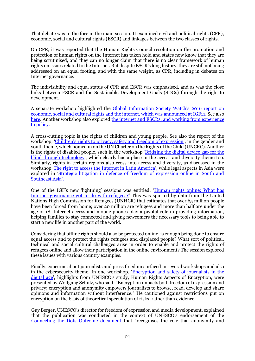That debate was to the fore in the main session. It examined civil and political rights (CPR), economic, social and cultural rights (ESCR) and linkages between the two classes of rights.

On CPR, it was reported that the Human Rights Council resolution on the promotion and protection of human rights on the Internet has taken hold and states now know that they are being scrutinised, and they can no longer claim that there is no clear framework of human rights on issues related to the Internet. But despite ESCR's long history, they are still not being addressed on an equal footing, and with the same weight, as CPR, including in debates on Internet governance.

The indivisibility and equal status of CPR and ESCR was emphasised, and as was the close links between ESCR and the Sustainable Development Goals (SDGs) through the right to development.

A separate workshop highlighted the [Global Information Society Watch's 2016 report on](file:///C:/Users/Mazzucchi/AppData/Local/Temp/notes44A9BD/Global%20Information%20Society%20Watch)  [economic, social and cultural rights and the internet, which was announced at IGF11. S](file:///C:/Users/Mazzucchi/AppData/Local/Temp/notes44A9BD/Global%20Information%20Society%20Watch)ee also [here.](https://www.giswatch.org/blog-entry/1203/global-information-society-watch-2016-economic-social-and-cultural-rights-and-intern) Another workshop also explored the internet and ESCRs, and working from experience [to policy.](http://intgovforum.org/multilingual/content/igf-2016-day-4-room-5-ws90-the-internet-and-escrs-working-from-experience-to-policy)

A cross-cutting topic is the rights of children and young people. See also the report of the workshop, ['Children's rights to privacy, safety and freedom of expression'](http://intgovforum.org/multilingual/content/igf-2016-day-4-room-5-ws66-children%E2%80%99s-rights-to-privacy-safety-freedom-of-expression), in the gender and youth theme, which homed in on the UN Charter on the Rights of the Child (UNCRC). Another is the rights of disabled people, such in the workshop 'Bridging the digital device gap for the [blind through technology](http://intgovforum.org/multilingual/content/igf-2016-day-4-room-5-ws29-bridging-digital-device-gap-the-blind-through-technology)', which clearly has a place in the access and diversity theme too. Similarly, rights in certain regions also cross into access and diversity, as discussed in the workshop '[The right to access the Internet in Latin America](http://www.intgovforum.org/multilingual/content/igf-2016-day-1-room-6-ws266-the-right-to-access-the-internet-in-latin-america)', while legal aspects in Asia were explored in '[Strategic litigation in defence of freedom of expression online in South and](file:///C:/Users/Mazzucchi/AppData/Local/Temp/notes44A9BD/The%20right%20to%20access%20the%20Internet%20in%20Latin%20America)  [Southeast Asia'.](file:///C:/Users/Mazzucchi/AppData/Local/Temp/notes44A9BD/The%20right%20to%20access%20the%20Internet%20in%20Latin%20America)

One of the IGF's new 'lightning' sessions was entitled: '[Human rights online: What has](http://www.intgovforum.org/multilingual/filedepot_download/4183/391)  [Internet governance got to do with refugees?](http://www.intgovforum.org/multilingual/filedepot_download/4183/391)' This was spurred by data from the United Nations High Commission for Refugees (UNHCR) that estimates that over 65 million people have been forced from home; over 20 million are refugees and more than half are under the age of 18. Internet access and mobile phones play a pivotal role in providing information, helping families to stay connected and giving newcomers the necessary tools to being able to start a new life in another part of the world.

Considering that offline rights should also be protected online, is enough being done to ensure equal access and to protect the rights refugees and displaced people? What sort of political, technical and social cultural challenges arise in order to enable and protect the rights of refugees online and allow their participation in the online environment? The session explored these issues with various country examples.

Finally, concerns about journalists and press freedom surfaced in several workshops and also in the cybersecurity theme. In one workshop, 'Encryption and safety of journalists in the [digital age](http://intgovforum.org/multilingual/content/igf-2016-day-2-room-6-ws159-encryption-and-safety-of-journalists-in-digital-age)', highlights from UNESCO's study, Human Rights Aspects of Encryption, were presented by Wolfgang Schulz, who said: "Encryption impacts both freedom of expression and privacy; encryption and anonymity empowers journalists to browse, read, develop and share opinions and information without interference." He cautioned against restrictions put on encryption on the basis of theoretical speculation of risks, rather than evidence.

Guy Berger, UNESCO's director for freedom of expression and media development, explained that the publication was conducted in the context of UNESCO's endorsement of the [Connecting the Dots Outcome document](https://www.google.co.uk/url?sa=t&rct=j&q=&esrc=s&source=web&cd=1&cad=rja&uact=8&ved=0ahUKEwiRuZep8LrVAhUpB8AKHYFIBCMQFggoMAA&url=http%3A%2F%2Funesdoc.unesco.org%2Fimages%2F0023%2F002340%2F234090e.pdf&usg=AFQjCNEWPHub7oE_8mCgB2hbls_g1uzizw) that "recognises the role that anonymity and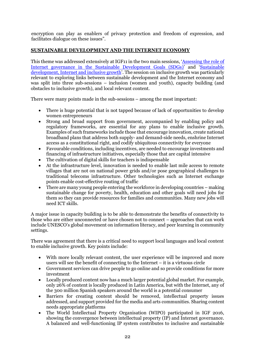encryption can play as enablers of privacy protection and freedom of expression, and facilitates dialogue on these issues".

#### **SUSTAINABLE DEVELOPMENT AND THE INTERNET ECONOMY**

This theme was addressed extensively at IGF11 in the two main sessions, 'Assessing the role of [Internet governance in the Sustainable Development Goals \(SDGs\)](http://www.intgovforum.org/multilingual/content/igf-2016-day-1-main-hall-assessing-the-role-of-ig-in-the-sdgs)' and '[Sustainable](http://www.intgovforum.org/multilingual/content/igf-2016-day-2-main-hall-sustainable-development-internet-and-inclusive-growth)  [development, Internet and inclusive growth](http://www.intgovforum.org/multilingual/content/igf-2016-day-2-main-hall-sustainable-development-internet-and-inclusive-growth)'. The session on inclusive growth was particularly relevant to exploring links between sustainable development and the Internet economy and was split into three sub-sessions – inclusion (women and youth), capacity building (and obstacles to inclusive growth), and local relevant content.

There were many points made in the sub-sessions – among the most important:

- There is huge potential that is not tapped because of lack of opportunities to develop women entrepreneurs
- Strong and broad support from government, accompanied by enabling policy and regulatory frameworks, are essential for any plans to enable inclusive growth. Examples of such frameworks include those that encourage innovation, create national broadband plans that address both supply- and demand-side needs, enshrine Internet access as a constitutional right, and codify ubiquitous connectivity for everyone
- Favourable conditions, including incentives, are needed to encourage investments and financing of infrastructure initiatives, especially those that are capital intensive
- The cultivation of digital skills for teachers is indispensable
- At the infrastructure level, innovation is needed to enable last mile access to remote villages that are not on national power grids and/or pose geographical challenges to traditional telecoms infrastructure. Other technologies such as Internet exchange points enable cost-effective routing of traffic
- There are many young people entering the workforce in developing countries making sustainable change for poverty, health, education and other goals will need jobs for them so they can provide resources for families and communities. Many new jobs will need ICT skills.

A major issue in capacity building is to be able to demonstrate the benefits of connectivity to those who are either unconnected or have chosen not to connect – approaches that can work include UNESCO's global movement on information literacy, and peer learning in community settings.

There was agreement that there is a critical need to support local languages and local content to enable inclusive growth. Key points include:

- With more locally relevant content, the user experience will be improved and more users will see the benefit of connecting to the Internet – it is a virtuous circle
- Government services can drive people to go online and so provide conditions for more investment
- Locally produced content now has a much larger potential global market. For example, only 26% of content is locally produced in Latin America, but with the Internet, any of the 300 million Spanish speakers around the world is a potential consumer
- Barriers for creating content should be removed, intellectual property issues addressed, and support provided for the media and arts communities. Sharing content needs appropriate platforms
- The World Intellectual Property Organisation (WIPO) participated in IGF 2016, showing the convergence between intellectual property (IP) and Internet governance. A balanced and well-functioning IP system contributes to inclusive and sustainable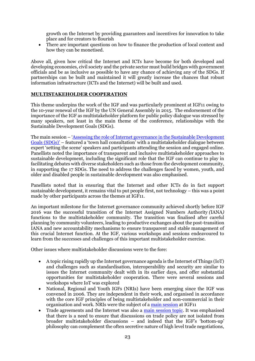growth on the Internet by providing guarantees and incentives for innovation to take place and for creators to flourish

 There are important questions on how to finance the production of local content and how they can be monetised.

Above all, given how critical the Internet and ICTs have become for both developed and developing economies, civil society and the private sector must build bridges with government officials and be as inclusive as possible to have any chance of achieving any of the SDGs. If partnerships can be built and maintained it will greatly increase the chances that robust information infrastructure (ICTs and the Internet) will be built and used.

#### **MULTISTAKEHOLDER COOPERATION**

This theme underpins the work of the IGF and was particularly prominent at IGF11 owing to the 10-year renewal of the IGF by the UN General Assembly in 2015. The endorsement of the importance of the IGF as multistakeholder platform for public policy dialogue was stressed by many speakers, not least in the main theme of the conference, relationships with the Sustainable Development Goals (SDGs).

The main session – '[Assessing the role of Internet governance in the Sustainable Development](http://intgovforum.org/multilingual/content/igf-2016-day-1-main-hall-assessing-the-role-of-ig-in-the-sdgs)  [Goals \(SDGs\)'](http://intgovforum.org/multilingual/content/igf-2016-day-1-main-hall-assessing-the-role-of-ig-in-the-sdgs) – featured a 'town hall consultation' with a multistakeholder dialogue between expert 'setting the scene' speakers and participants attending the session and engaged online. Panellists noted the importance of transparent and inclusive multistakeholder approaches to sustainable development, including the significant role that the IGF can continue to play in facilitating debates with diverse stakeholders such as those from the development community, in supporting the 17 SDGs. The need to address the challenges faced by women, youth, and older and disabled people in sustainable development was also emphasised.

Panellists noted that in ensuring that the Internet and other ICTs do in fact support sustainable development, it remains vital to put people first, not technology – this was a point made by other participants across the themes at IGF11.

An important milestone for the Internet governance community achieved shortly before IGF 2016 was the successful transition of the Internet Assigned Numbers Authority *(*IANA*)* functions to the multistakeholder community. The transition was finalised after careful planning by community volunteers, leading to productive exchanges about the post-transition IANA and new accountability mechanisms to ensure transparent and stable management of this crucial Internet function. At the IGF, various workshops and sessions endeavoured to learn from the successes and challenges of this important multistakeholder exercise.

Other issues where multistakeholder discussions were to the fore:

- A topic rising rapidly up the Internet governance agenda is the Internet of Things (IoT) and challenges such as standardisation, interoperability and security are similar to issues the Internet community dealt with in its earlier days, and offer substantial opportunities for multistakeholder cooperation. There were several sessions and workshops where IoT was explored
- National, Regional and Youth IGFs (NRIs) have been emerging since the IGF was convened in 2006. They are independent in their work, and organised in accordance with the core IGF principles of being multistakeholder and non-commercial in their organisation and work. NRIs were the subject of a [main session](http://intgovforum.org/multilingual/content/igf-2016-day-2-main-hall-national-and-regional-igfs) at IGF11
- Trade agreements and the Internet was also a [main session topic.](http://www.intgovforum.org/multilingual/content/igf-2016-day-3-main-hall-trade-agreements-and-the-internet) It was emphasised that there is a need to ensure that discussions on trade policy are not isolated from broader multistakeholder discussions – and indeed that the IGF's 'bottom-up' philosophy can complement the often secretive nature of high level trade negotiations,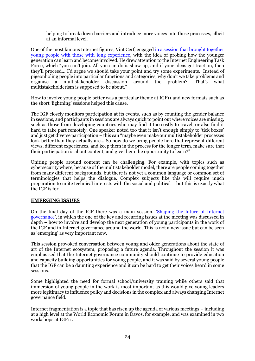helping to break down barriers and introduce more voices into these processes, albeit at an informal level.

One of the most famous Internet figures, Vint Cerf, engage[d in a session that brought together](http://intgovforum.org/multilingual/content/igf-2016-day-4-main-hall-shaping-the-future-of-internet-governance)  [young people with those with long experience,](http://intgovforum.org/multilingual/content/igf-2016-day-4-main-hall-shaping-the-future-of-internet-governance) with the idea of probing how the younger generation can learn and become involved. He drew attention to the Internet Engineering Task Force, which "you can't join. All you can do is show up, and if your ideas get traction, then they'll proceed… I'd argue we should take your point and try some experiments. Instead of pigeonholing people into particular functions and categories, why don't we take problems and organise a multistakeholder discussion around the problem? That's what multistakeholderism is supposed to be about."

How to involve young people better was a particular theme at IGF11 and new formats such as the short 'lightning' sessions helped this cause.

The IGF closely monitors participation at its events, such as by counting the gender balance in sessions, and participants in sessions are always quick to point out where voices are missing, such as those from developing countries who may find it too costly to travel, or also find it hard to take part remotely. One speaker noted too that it isn't enough simply to 'tick boxes' and just get diverse participation – this can "maybe even make our multistakeholder processes look better than they actually are... So how do we bring people here that represent different views, different experiences, and keep them in the process for the longer term, make sure that their participation is about content, and give them the opportunity to learn?"

Uniting people around content can be challenging. For example, with topics such as cybersecurity where, because of the multistakeholder model, there are people coming together from many different backgrounds, but there is not yet a common language or common set of terminologies that helps the dialogue. Complex subjects like this will require much preparation to unite technical interests with the social and political – but this is exactly what the IGF is for.

#### **EMERGING ISSUES**

On the final day of the IGF there was a main session, '[Shaping the future of Internet](http://intgovforum.org/multilingual/content/igf-2016-day-4-main-hall-shaping-the-future-of-internet-governance)  [governance](http://intgovforum.org/multilingual/content/igf-2016-day-4-main-hall-shaping-the-future-of-internet-governance)', in which the one of the key and recurring issues at the meeting was discussed in depth – how to involve and develop the next generation of young participants in the work of the IGF and in Internet governance around the world. This is not a new issue but can be seen as 'emerging' as very important now.

This session provoked conversation between young and older generations about the state of art of the Internet ecosystem, proposing a future agenda. Throughout the session it was emphasised that the Internet governance community should continue to provide education and capacity building opportunities for young people, and it was said by several young people that the IGF can be a daunting experience and it can be hard to get their voices heard in some sessions.

Some highlighted the need for formal school/university training while others said that immersion of young people in the work is most important as this would give young leaders more legitimacy to influence policy and decisions in the complex and always changing Internet governance field.

Internet fragmentation is a topic that has risen up the agenda of various meetings – including at a high level at the World Economic Forum in Davos, for example, and was examined in two workshops at IGF11.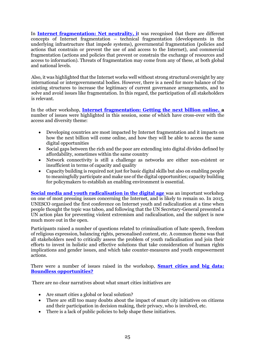In **[Internet fragmentation: Net neutrality,](http://www.intgovforum.org/multilingual/content/igf-2016-day-1-room-5-ws173-internet-fragmentation-net-neutrality) i**t was recognised that there are different concepts of Internet fragmentation – technical fragmentation (developments in the underlying infrastructure that impede systems), governmental fragmentation (policies and actions that constrain or prevent the use of and access to the Internet), and commercial fragmentation (actions and policies that prevent or constrain the exchange of resources and access to information). Threats of fragmentation may come from any of these, at both global and national levels.

Also, it was highlighted that the Internet works well without strong structural oversight by any international or intergovernmental bodies. However, there is a need for more balance of the existing structures to increase the legitimacy of current governance arrangements, and to solve and avoid issues like fragmentation. In this regard, the participation of all stakeholders is relevant.

In the other workshop, **[Internet fragmentation: Getting the next billion online, a](http://intgovforum.org/multilingual/content/igf-2016-day-3-room-4-ws37-internet-fragmentation-getting-next-billion-online)** number of issues were highlighted in this session, some of which have cross-over with the access and diversity theme:

- Developing countries are most impacted by Internet fragmentation and it impacts on how the next billion will come online, and how they will be able to access the same digital opportunities
- Social gaps between the rich and the poor are extending into digital divides defined by affordability, sometimes within the same country
- Network connectivity is still a challenge as networks are either non-existent or insufficient in terms of capacity and quality
- Capacity building is required not just for basic digital skills but also on enabling people to meaningfully participate and make use of the digital opportunities; capacity building for policymakers to establish an enabling environment is essential.

**[Social media and youth radicalisation in the digital age](http://www.intgovforum.org/multilingual/content/igf-2016-day-1-room-5-ws160-social-media-and-youth-radicalization-in-the-digital-age)** was an important workshop on one of most pressing issues concerning the Internet, and is likely to remain so. In 2015, UNESCO organised the first conference on Internet youth and radicalization at a time when people thought the topic was taboo, and following that the UN Secretary-General presented a UN action plan for preventing violent extremism and radicalisation, and the subject is now much more out in the open.

Participants raised a number of questions related to criminalisation of hate speech, freedom of religious expression, balancing rights, personalised content, etc. A common theme was that all stakeholders need to critically assess the problem of youth radicalisation and join their efforts to invest in holistic and effective solutions that take consideration of human rights implications and gender issues, and which take counter-measures and youth empowerment actions.

There were a number of issues raised in the workshop, **[Smart cities and big data:](http://intgovforum.org/multilingual/content/igf-2016-day-3-room-10-ws187-smart-cities-and-big-data-boundless-opportunities)  [Boundless opportunities?](http://intgovforum.org/multilingual/content/igf-2016-day-3-room-10-ws187-smart-cities-and-big-data-boundless-opportunities)** 

There are no clear narratives about what smart cities initiatives are

- Are smart cities a global or local solution?
- There are still too many doubts about the impact of smart city initiatives on citizens and their participation in decision making, their privacy, who is involved, etc.
- There is a lack of public policies to help shape these initiatives.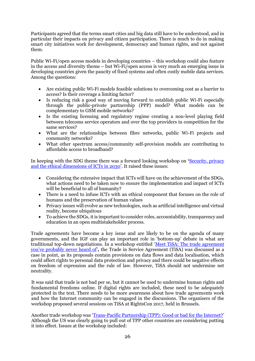Participants agreed that the terms smart cities and big data still have to be understood, and in particular their impacts on privacy and citizen participation. There is much to do in making smart city initiatives work for development, democracy and human rights, and not against them.

Public Wi-Fi/open access models in developing countries – this workshop could also feature in the access and diversity theme – but Wi-Fi/open access is very much an emerging issue in developing countries given the paucity of fixed systems and often costly mobile data services. Among the questions:

- Are existing public Wi-Fi models feasible solutions to overcoming cost as a barrier to access? Is their coverage a limiting factor?
- Is reducing risk a good way of moving forward to establish public Wi-Fi especially through the public-private partnership (PPP) model? What models can be complementary to GSM mobile networks?
- Is the existing licensing and regulatory regime creating a non-level playing field between telecoms service operators and over the top providers in competition for the same services?
- What are the relationships between fibre networks, public Wi-Fi projects and community networks?
- What other spectrum access/community self-provision models are contributing to affordable access to broadband?

In keeping with the SDG theme there was a forward looking workshop on **'**[Security, privacy](http://intgovforum.org/multilingual/content/igf-2016-day-1-room-4-ws38-security-privacy-and-the-ethical-dimensions-of-icts-in-2030)  [and the ethical dimensions of ICTs in 2030](http://intgovforum.org/multilingual/content/igf-2016-day-1-room-4-ws38-security-privacy-and-the-ethical-dimensions-of-icts-in-2030)'. It raised these issues:

- Considering the extensive impact that ICTs will have on the achievement of the SDGs, what actions need to be taken now to ensure the implementation and impact of ICTs will be beneficial to all of humanity?
- There is a need to infuse ICTs with an ethical component that focuses on the role of humans and the preservation of human values
- Privacy issues will evolve as new technologies, such as artificial intelligence and virtual reality, become ubiquitous
- To achieve the SDGs, it is important to consider roles, accountability, transparency and education in an open multistakeholder process.

Trade agreements have become a key issue and are likely to be on the agenda of many governments, and the IGF can play an important role in 'bottom-up' debate in what are traditional top-down negotiations. In a workshop entitled '[Meet TiSA: The trade agreement](http://intgovforum.org/multilingual/content/igf-2016-day-1-room-4-ws118-meet-tisa-the-trade-agreement-you%E2%80%99ve-probably-never-heard-of)  [you've probably never heard of'](http://intgovforum.org/multilingual/content/igf-2016-day-1-room-4-ws118-meet-tisa-the-trade-agreement-you%E2%80%99ve-probably-never-heard-of)**,** the Trade in Service Agreement (TiSA) was discussed as a case in point, as its proposals contain provisions on data flows and data localisation, which could affect rights to personal data protection and privacy and there could be negative effects on freedom of expression and the rule of law. However, TiSA should not undermine net neutrality.

It was said that trade is not bad per se, but it cannot be used to undermine human rights and fundamental freedoms online. If digital rights are included, these need to be adequately protected in the text. There needs to be more awareness about how trade agreements work and how the Internet community can be engaged in the discussions. The organisers of the workshop proposed several sessions on TiSA at RightsCon 2017, held in Brussels.

Another trade workshop was '[Trans-Pacific Partnership \(TPP\): Good or bad for the Internet?](http://intgovforum.org/multilingual/content/igf-2016-day-3-room-10-ws60-transpacific-partnership-good-or-bad-for-the-internet)' Although the US was clearly going to pull out of TPP other countries are considering putting it into effect. Issues at the workshop included: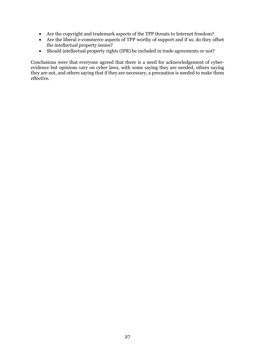- Are the copyright and trademark aspects of the TPP threats to Internet freedom?
- Are the liberal e-commerce aspects of TPP worthy of support and if so, do they offset the intellectual property issues?
- Should intellectual property rights (IPR) be included in trade agreements or not?

Conclusions were that everyone agreed that there is a need for acknowledgement of cyberevidence but opinions vary on cyber laws, with some saying they are needed, others saying they are not, and others saying that if they are necessary, a precaution is needed to make them effective.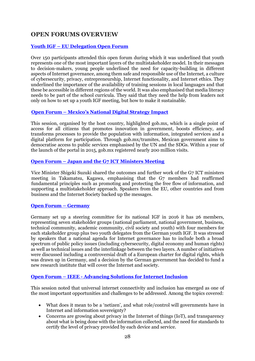## **OPEN FORUMS OVERVIEW**

#### **Youth IGF – [EU Delegation Open Forum](http://www.intgovforum.org/multilingual/content/igf-2016-day-1-room-10-of53-youth-igf-eu-delegation)**

Over 150 participants attended this open forum during which it was underlined that youth represents one of the most important layers of the multistakeholder model. In their messages to decision-makers, young people underlined the need for capacity-building in different aspects of Internet governance, among them safe and responsible use of the Internet, a culture of cybersecurity, privacy, entrepreneurship, Internet functionality, and Internet ethics. They underlined the importance of the availability of training sessions in local languages and that these be accessible in different regions of the world. It was also emphasised that media literacy needs to be part of the school curricula. They said that they need the help from leaders not only on how to set up a youth IGF meeting, but how to make it sustainable.

#### **Open Forum – [Mexico's National Digital Strategy I](http://www.intgovforum.org/multilingual/content/igf-2016-day-1-room-3-of40-mexico)mpact**

This session, organised by the host country, highlighted gob.mx, which is a single point of access for all citizens that promotes innovation in government, boosts efficiency, and transforms processes to provide the population with information, integrated services and a digital platform for participation. Through gob.mx/tramites, Mexican government aims to democratise access to public services emphasised by the UN and the SDGs. Within a year of the launch of the portal in 2015, gob.mx registered nearly 200 million visits.

#### **Open Forum – [Japan and the G7 ICT Ministers Meeting](http://www.intgovforum.org/multilingual/content/igf-2016-day-1-room-4-of20-japan)**

Vice Minister Shigeki Suzuki shared the outcomes and further work of the G7 ICT ministers meeting in Takamatsu, Kagawa, emphasising that the G7 members had reaffirmed fundamental principles such as promoting and protecting the free flow of information, and supporting a multistakeholder approach. Speakers from the EU, other countries and from business and the Internet Society backed up the messages.

#### **[Open Forum](http://www.intgovforum.org/multilingual/content/igf-2016-day-1-room-5-of47-germany) – Germany**

Germany set up a steering committee for its national IGF in 2016 it has 26 members, representing seven stakeholder groups (national parliament, national government, business, technical community, academic community, civil society and youth) with four members for each stakeholder group plus two youth delegates from the German youth IGF. It was stressed by speakers that a national agenda for Internet governance has to include both a broad spectrum of public policy issues (including cybersecurity, digital economy and human rights) as well as technical issues and the interlinkage between the two layers. A number of initiatives were discussed including a controversial draft of a European charter for digital rights, which was drawn up in Germany, and a decision by the German government has decided to fund a new research institute that will cover the Internet and society.

#### **Open Forum – IEEE - [Advancing Solutions for Internet Inclusion](http://www.intgovforum.org/multilingual/content/igf-2016-day-1-room-8-of15-ieee)**

This session noted that universal internet connectivity and inclusion has emerged as one of the most important opportunities and challenges to be addressed. Among the topics covered:

- What does it mean to be a 'netizen', and what role/control will governments have in Internet and information sovereignty?
- Concerns are growing about privacy in the Internet of things (IoT), and transparency about what is being done with the information collected, and the need for standards to certify the level of privacy provided by each device and service.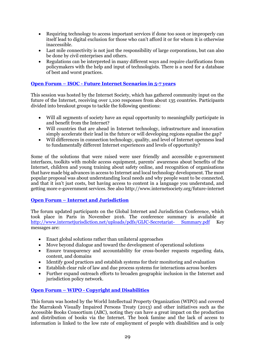- Requiring technology to access important services if done too soon or improperly can itself lead to digital exclusion for those who can't afford it or for whom it is otherwise inaccessible.
- Last mile connectivity is not just the responsibility of large corporations, but can also be done by civil enterprises and others.
- Regulations can be interpreted in many different ways and require clarifications from policymakers with the help and input of technologists. There is a need for a database of best and worst practices.

#### **Open Forum – ISOC - [Future Internet Scenarios in 5-7 years](http://www.intgovforum.org/multilingual/index.php?q=filedepot_download/4115/350)**

This session was hosted by the Internet Society, which has gathered community input on the future of the Internet, receiving over 1,100 responses from about 135 countries. Participants divided into breakout groups to tackle the following questions:

- Will all segments of society have an equal opportunity to meaningfully participate in and benefit from the Internet?
- Will countries that are ahead in Internet technology, infrastructure and innovation simply accelerate their lead in the future or will developing regions equalise the gap?
- Will differences in connection technology, quality, and level of Internet openness lead to fundamentally different Internet experiences and levels of opportunity?

Some of the solutions that were raised were user friendly and accessible e-government interfaces, toolkits with mobile access equipment, parents' awareness about benefits of the Internet, children and young training about safety online, and recognition of organisations that have made big advances in access to Internet and local technology development. The most popular proposal was about understanding local needs and why people want to be connected, and that it isn't just costs, but having access to content in a language you understand, and getting more e-government services. See also http://www.internetsociety.org/future-internet

#### **Open Forum – [Internet and Jurisdiction](http://www.intgovforum.org/multilingual/content/igf-2016-day-1-room-9-of13-internet-and-jurisdiction)**

The forum updated participants on the Global Internet and Jurisdiction Conference, which took place in Paris in November 2016. The conference summary is available at [http://www.internetjurisdiction.net/uploads/pdfs/GIJC-Secretariat-](http://www.internetjurisdiction.net/uploads/pdfs/GIJC-Secretariat-%20Summary.pdf) Summary.pdf Key messages are:

- Enact global solutions rather than unilateral approaches
- Move beyond dialogue and toward the development of operational solutions
- Ensure transparency and accountability for cross-border requests regarding data, content, and domains
- Identify good practices and establish systems for their monitoring and evaluation
- Establish clear rule of law and due process systems for interactions across borders
- Further expand outreach efforts to broaden geographic inclusion in the Internet and jurisdiction policy network.

#### **Open Forum – WIPO - [Copyright and Disabilities](http://www.intgovforum.org/multilingual/content/igf-2016-day-2-room-1-of17%C2%A0-wipo)**

This forum was hosted by the World Intellectual Property Organization (WIPO) and covered the Marrakesh Visually Impaired Persons Treaty (2013) and other initiatives such as the Accessible Books Consortium (ABC), noting they can have a great impact on the production and distribution of books via the Internet. The book famine and the lack of access to information is linked to the low rate of employment of people with disabilities and is only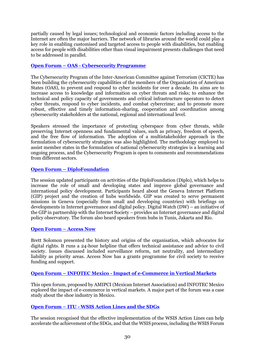partially caused by legal issues; technological and economic factors including access to the Internet are often the major barriers. The network of libraries around the world could play a key role in enabling customised and targeted access to people with disabilities, but enabling access for people with disabilities other than visual impairment presents challenges that need to be addressed in parallel.

#### **Open Forum – OAS - [Cybersecurity Programme](http://www.intgovforum.org/multilingual/content/igf-2016-day-2-room-1-organization-of-american-states)**

The Cybersecurity Program of the Inter-American Committee against Terrorism (CICTE) has been building the cybersecurity capabilities of the members of the Organization of American States (OAS), to prevent and respond to cyber incidents for over a decade. Its aims are to increase access to knowledge and information on cyber threats and risks; to enhance the technical and policy capacity of governments and critical infrastructure operators to detect cyber threats, respond to cyber incidents, and combat cybercrime; and to promote more robust, effective and timely information-sharing, cooperation and coordination among cybersecurity stakeholders at the national, regional and international level.

Speakers stressed the importance of protecting cyberspace from cyber threats, while preserving Internet openness and fundamental values, such as privacy, freedom of speech, and the free flow of information. The adoption of a multistakeholder approach in the formulation of cybersecurity strategies was also highlighted. The methodology employed to assist member states in the formulation of national cybersecurity strategies is a learning and ongoing process, and the Cybersecurity Program is open to comments and recommendations from different sectors.

#### **Open Forum – [DiploFoundation](http://www.intgovforum.org/multilingual/index.php?q=filedepot_download/4115/310)**

The session updated participants on activities of the DiploFoundation (Diplo), which helps to increase the role of small and developing states and improve global governance and international policy development. Participants heard about the Geneva Internet Platform (GIP) project and the creation of hubs worldwide. GIP was created to serve permanent missions in Geneva (especially from small and developing countries) with briefings on developments in Internet governance and digital policy. Digital Watch (DW) – an initiative of the GIP in partnership with the Internet Society – provides an Internet governance and digital policy observatory. The forum also heard speakers from hubs in Tunis, Jakarta and Rio.

#### **[Open Forum](http://www.intgovforum.org/multilingual/content/igf-2016-day-2-room-10-of44-access-now) – Access Now**

Brett Solomon presented the history and origins of the organisation, which advocates for digital rights. It runs a 24-hour helpline that offers technical assistance and advice to civil society. Issues discussed included surveillance reform, net neutrality, and intermediary liability as priority areas. Access Now has a grants programme for civil society to receive funding and support.

#### **Open Forum – INFOTEC Mexico - [Impact of e-Commerce in Vertical Markets](http://www.intgovforum.org/multilingual/content/igf-2016-day-2-room-4-of26-infotec-mexico)**

This open forum, proposed by AMIPCI (Mexican Internet Association) and INFOTEC Mexico explored the impact of e-commerce in vertical markets. A major part of the forum was a case study about the shoe industry in Mexico.

#### **Open Forum – ITU - [WSIS Action Lines and the SDGs](http://www.intgovforum.org/multilingual/content/igf-2016-day-2-room-4-of36-itu-wsis)**

The session recognised that the effective implementation of the WSIS Action Lines can help accelerate the achievement of the SDGs, and that the WSIS process, including the WSIS Forum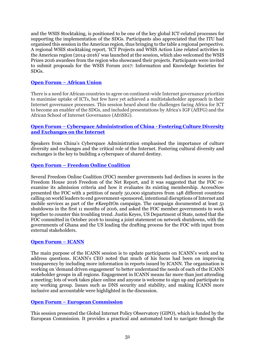and the WSIS Stocktaking, is positioned to be one of the key global ICT-related processes for supporting the implementation of the SDGs. Participants also appreciated that the ITU had organised this session in the Americas region, thus bringing to the table a regional perspective. A regional WSIS stocktaking report, 'ICT Projects and WSIS Action Line related activities in the Americas region (2014-2016)' was launched at the session, which also welcomed the WSIS Prizes 2016 awardees from the region who showcased their projects. Participants were invited to submit proposals for the WSIS Forum 2017: Information and Knowledge Societies for SDGs.

#### **Open Forum – [African Union](http://www.intgovforum.org/multilingual/content/igf-2016-day-2-room-4-of3-african-union)**

There is a need for African countries to agree on continent-wide Internet governance priorities to maximise uptake of ICTs, but few have yet achieved a multistakeholder approach in their Internet governance processes. This session heard about the challenges facing Africa for ICT to become an enabler of the SDGs, and included presentations by Africa's IGF (AfIFG) and the African School of Internet Governance (AfriSIG).

#### **Open Forum – [Cyberspace Administration of China -](http://www.intgovforum.org/multilingual/content/igf-2016-day-2-room-8-of23-china) Fostering Culture Diversity [and Exchanges on the Internet](http://www.intgovforum.org/multilingual/content/igf-2016-day-2-room-8-of23-china)**

Speakers from China's Cyberspace Administration emphasised the importance of culture diversity and exchanges and the critical role of the Internet. Fostering cultural diversity and exchanges is the key to building a cyberspace of shared destiny.

#### **Open Forum – [Freedom Online Coalition](http://www.intgovforum.org/multilingual/content/igf-2016-day-2-room-8-of27-freedom-online-coalition)**

Several Freedom Online Coalition (FOC) member governments had declines in scores in the Freedom House 2016 Freedom of the Net Report, and it was suggested that the FOC reexamine its admission criteria and how it evaluates its existing membership. AccessNow presented the FOC with a petition of nearly 50,000 signatures from 148 different countries calling on world leaders to end government-sponsored, intentional disruptions of Internet and mobile services as part of the #KeepItOn campaign. The campaign documented at least 51 shutdowns in the first 11 months of 2016, and asked the FOC member governments to work together to counter this troubling trend. Justin Keyes, US Department of State, noted that the FOC committed in October 2016 to issuing a joint statement on network shutdowns, with the governments of Ghana and the US leading the drafting process for the FOC with input from external stakeholders.

#### **[Open Forum](http://www.intgovforum.org/multilingual/content/igf-2016-day-2-room-9-of14-icann) – ICANN**

The main purpose of the ICANN session is to update participants on ICANN's work and to address questions. ICANN's CEO noted that much of his focus had been on improving transparency by including more information in reports issued by ICANN. The organisation is working on 'demand driven engagement' to better understand the needs of each of the ICANN stakeholder groups in all regions. Engagement in ICANN means far more than just attending a meeting; lots of work takes place online and anyone is welcome to sign up and participate in any working group. Issues such as DNS security and stability, and making ICANN more inclusive and accountable were highlighted in the discussion.

#### **Open Forum – [European Commission](http://www.intgovforum.org/multilingual/content/igf-2016-day-2-room-9-of1-european-commission)**

This session presented the Global Internet Policy Observatory (GIPO), which is funded by the European Commission. It provides a practical and automated tool to navigate through the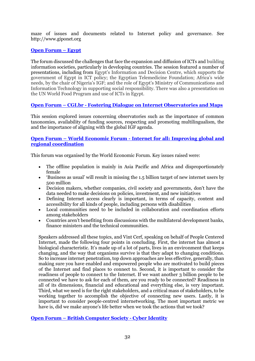maze of issues and documents related to Internet policy and governance. See http://www.giponet.org

#### **[Open Forum](http://www.intgovforum.org/multilingual/content/igf-2016-day-3-room-1-of16-egyptt) – Egypt**

The forum discussed the challenges that face the expansion and diffusion of ICTs and building information societies, particularly in developing countries. The session featured a number of presentations, including from Egypt's Information and Decision Centre, which supports the government of Egypt in ICT policy; the Egyptian Telemedicine Foundation; Africa's wide needs, by the chair of Nigeria's IGF; and the role of Egypt's Ministry of Communications and Information Technology in supporting social responsibility. There was also a presentation on the UN World Food Program and use of ICTs in Egypt.

#### **Open Forum – CGI.br - [Fostering Dialogue on Internet Observatories and Maps](http://www.intgovforum.org/multilingual/content/igf-2016-day-3-room-2-of37-observatories-cgibr)**

This session explored issues concerning observatories such as the importance of common taxonomies, availability of funding sources, respecting and promoting multilingualism, the and the importance of aligning with the global IGF agenda.

#### **Open Forum – World Economic Forum - [Internet for all: Improving global and](http://www.intgovforum.org/multilingual/content/igf-2016-day-3-room-3-of52-wef)  [regional coordination](http://www.intgovforum.org/multilingual/content/igf-2016-day-3-room-3-of52-wef)**

This forum was organised by the World Economic Forum. Key issues raised were:

- The offline population is mainly in Asia Pacific and Africa and disproportionately female
- 'Business as usual' will result in missing the 1.5 billion target of new internet users by 500 million
- Decision makers, whether companies, civil society and governments, don't have the data needed to make decisions on policies, investment, and new initiatives
- Defining Internet access clearly is important, in terms of capacity, content and accessibility for all kinds of people, including persons with disabilities
- Local communities need to be included in collaboration and coordination efforts among stakeholders
- Countries aren't benefiting from discussions with the multilateral development banks, finance ministers and the technical communities.

Speakers addressed all these topics, and Vint Cerf, speaking on behalf of People Centered Internet, made the following four points in concluding. First, the internet has almost a biological characteristic. It's made up of a lot of parts, lives in an environment that keeps changing, and the way that organisms survive is that they adapt to changing conditions. So to increase internet penetration, top down approaches are less effective, generally, than making sure you have enabled and empowered people who are motivated to build pieces of the Internet and find places to connect to. Second, it is important to consider the readiness of people to connect to the Internet. If we want another 3 billion people to be connected we have to ask for each of them, are you ready to be connected? Readiness in all of its dimensions, financial and educational and everything else, is very important. Third, what we need is for the right stakeholders, and a critical mass of stakeholders, to be working together to accomplish the objective of connecting new users. Lastly, it is important to consider people‐centred internetworking. The most important metric we have is, did we make anyone's life better when we took the actions that we took?

#### **Open Forum – [British Computer Society -](http://www.intgovforum.org/multilingual/content/igf-2016-day-3-room-6-of2-bcs) Cyber Identity**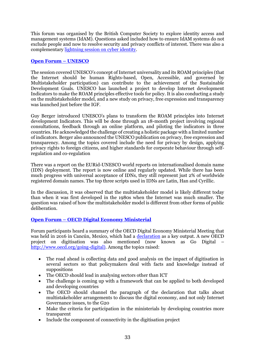This forum was organised by the British Computer Society to explore identity access and management systems (IdAM). Questions asked included how to ensure IdAM systems do not exclude people and now to resolve security and privacy conflicts of interest. There was also a complementary [lightning session on cyber identity.](http://www.intgovforum.org/multilingual/filedepot_download/4183/389)

#### **[Open Forum](http://www.intgovforum.org/multilingual/content/igf-2016-day-3-room-6-of34-unesco) – UNESCO**

The session covered UNESCO's concept of Internet universality and its ROAM principles (that the Internet should be human Rights-based, Open, Accessible, and governed by Multistakeholder participation) can contribute to the achievement of the Sustainable Development Goals. UNESCO has launched a project to develop Internet development Indicators to make the ROAM principles effective tools for policy. It is also conducting a study on the multistakeholder model, and a new study on privacy, free expression and transparency was launched just before the IGF.

Guy Berger introduced UNESCO's plans to transform the ROAM principles into Internet development Indicators. This will be done through an 18-month project involving regional consultations, feedback through an online platform, and piloting the indicators in three countries. He acknowledged the challenge of creating a holistic package with a limited number of indicators. Berger also announced the UNESCO publication on privacy, free expression and transparency. Among the topics covered include the need for privacy by design, applying privacy rights to foreign citizens, and higher standards for corporate behaviour through selfregulation and co-regulation

There was a report on the EURid-UNESCO world reports on internationalised domain name (IDN) deployment. The report is now online and regularly updated. While there has been much progress with universal acceptance of IDNs, they still represent just 2% of worldwide registered domain names. The top three scripts used in IDNs are Latin, Han and Cyrillic.

In the discussion, it was observed that the multistakeholder model is likely different today than when it was first developed in the 1980s when the Internet was much smaller. The question was raised of how the multistakeholder model is different from other forms of public deliberation.

#### **Open Forum – [OECD Digital Economy Ministerial](http://www.intgovforum.org/multilingual/content/igf-2016-day-3-room-8-of29-oecd)**

Forum participants heard a summary of the OECD Digital Economy Ministerial Meeting that was held in 2016 in Cancún, Mexico, which had a [declaration](http://www.oecd.org/sti/ieconomy/Digital-Economy-Ministerial-Declaration-2016.pdf) as a key output. A new OECD project on digitisation was also mentioned (now known as Go Digital – [http://www.oecd.org/going-digital\).](http://www.oecd.org/going-digital)) Among the topics raised:

- The road ahead is collecting data and good analysis on the impact of digitisation in several sectors so that policymakers deal with facts and knowledge instead of suppositions
- The OECD should lead in analysing sectors other than ICT
- The challenge is coming up with a framework that can be applied to both developed and developing countries
- The OECD should channel the paragraph of the declaration that talks about multistakeholder arrangements to discuss the digital economy, and not only Internet Governance issues, to the G20
- Make the criteria for participation in the ministerials by developing countries more transparent
- Include the component of connectivity in the digitisation project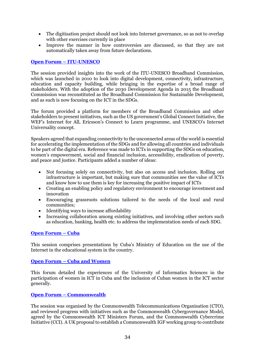- The digitisation project should not look into Internet governance, so as not to overlap with other exercises currently in place
- Improve the manner in how controversies are discussed, so that they are not automatically taken away from future declarations.

#### **Open Forum – [ITU-UNESCO](http://www.intgovforum.org/multilingual/content/igf-2016-day-3-room-8-of33-itu-unesco)**

The session provided insights into the work of the ITU-UNESCO Broadband Commission, which was launched in 2010 to look into digital development, connectivity, infrastructure, education and capacity building, while bringing in the expertise of a broad range of stakeholders. With the adoption of the 2030 Development Agenda in 2015 the Broadband Commission was reconstituted as the Broadband Commission for Sustainable Development, and as such is now focusing on the ICT in the SDGs.

The forum provided a platform for members of the Broadband Commission and other stakeholders to present initiatives, such as the US government's Global Connect Initiative, the WEF's Internet for All, Ericsson's Connect to Learn programme, and UNESCO's Internet Universality concept.

Speakers agreed that expanding connectivity to the unconnected areas of the world is essential for accelerating the implementation of the SDGs and for allowing all countries and individuals to be part of the digital era. Reference was made to ICTs in supporting the SDGs on education, women's empowerment, social and financial inclusion, accessibility, eradication of poverty, and peace and justice. Participants added a number of ideas:

- Not focusing solely on connectivity, but also on access and inclusion. Rolling out infrastructure is important, but making sure that communities see the value of ICTs and know how to use them is key for increasing the positive impact of ICTs
- Creating an enabling policy and regulatory environment to encourage investment and innovation
- Encouraging grassroots solutions tailored to the needs of the local and rural communities;
- Identifying ways to increase affordability
- Increasing collaboration among existing initiatives, and involving other sectors such as education, banking, health etc. to address the implementation needs of each SDG.

#### **[Open Forum](http://www.intgovforum.org/multilingual/content/igf-2016-day-4-room-1-of8-cuba) – Cuba**

This session comprises presentations by Cuba's Ministry of Education on the use of the Internet in the educational system in the country.

#### **Open Forum – [Cuba and Women](http://www.intgovforum.org/multilingual/content/igf-2016-day-4-room-10-of38-universidad-de-ciencias-informaticas-cuba)**

This forum detailed the experiences of the University of Informatics Sciences in the participation of women in ICT in Cuba and the inclusion of Cuban women in the ICT sector generally.

#### **Open Forum – [Commonwealth](http://www.intgovforum.org/multilingual/content/igf-2016-day-4-room-6-of12-commonwealth-internet-governance-forum)**

The session was organised by the Commonwealth Telecommunications Organisation (CTO), and reviewed progress with initiatives such as the Commonwealth Cybergovernance Model, agreed by the Commonwealth ICT Ministers Forum, and the Commonwealth Cybercrime Initiative (CCI). A UK proposal to establish a Commonwealth IGF working group to contribute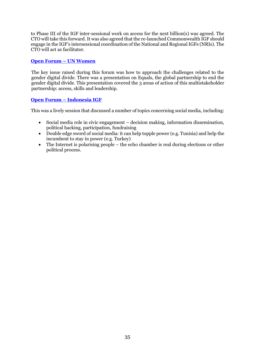to Phase III of the IGF inter-sessional work on access for the next billion(s) was agreed. The CTO will take this forward. It was also agreed that the re-launched Commonwealth IGF should engage in the IGF's intersessional coordination of the National and Regional IGFs (NRIs). The CTO will act as facilitator.

#### **[Open Forum](http://intgovforum.org/multilingual/content/igf-2016-day-4-room-6-of30-un-women) – UN Women**

The key issue raised during this forum was how to approach the challenges related to the gender digital divide. There was a presentation on Equals, the global partnership to end the gender digital divide. This presentation covered the 3 areas of action of this multistakeholder partnership: access, skills and leadership.

#### **Open Forum – [Indonesia IGF](http://www.intgovforum.org/multilingual/content/igf-2016-day-4-room-7-of48-indonesia)**

This was a lively session that discussed a number of topics concerning social media, including:

- Social media role in civic engagement decision making, information dissemination, political hacking, participation, fundraising
- Double edge sword of social media: it can help topple power (e.g. Tunisia) and help the incumbent to stay in power (e.g. Turkey)
- The Internet is polarising people the echo chamber is real during elections or other political process.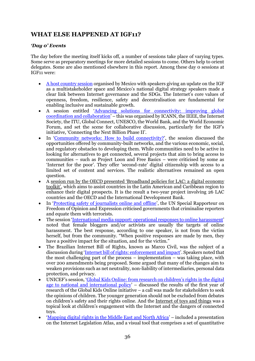## **WHAT ELSE HAPPENED AT IGF11?**

#### *'Day 0' Events*

The day before the meeting itself kicks off, a number of sessions take place of varying types. Some serve as preparatory meetings for more detailed sessions to come. Others help to orient delegates. Some are also mentioned elsewhere in this report. Among these day 0 sessions at IGF11 were:

- [A host country session](http://www.intgovforum.org/multilingual/content/igf-2016-day-0-main-hall-host-country-led-high-level-meeting) organised by Mexico with speakers giving an update on the IGF as a multistakeholder space and Mexico's national digital strategy speakers made a clear link between Internet governance and the SDGs. The Internet's core values of openness, freedom, resilience, safety and decentralisation are fundamental for enabling inclusive and sustainable growth.
- A session entitled '[Advancing solutions for connectivity: improving global](http://www.intgovforum.org/multilingual/content/igf-2016-day-0-room-3-global-connect-ieee-isoc-itu-unesco-wef-and-the-world-bank-advancing)  [coordination and collaboration](http://www.intgovforum.org/multilingual/content/igf-2016-day-0-room-3-global-connect-ieee-isoc-itu-unesco-wef-and-the-world-bank-advancing)' – this was organised by ICANN, the IEEE, the Internet Society, the ITU, Global Connect, UNESCO, the World Bank, and the World Economic Forum, and set the scene for collaborative discussion, particularly for the IGF's initiative, 'Connecting the Next Billion Phase II'.
- In '[Community networks: How to build connectivity?](http://www.intgovforum.org/multilingual/content/igf-2016-day-0-room-5-isoc-apc-fgv-community-networks-how-to-build-connectivity)', the session discussed the opportunities offered by community-built networks, and the various economic, social, and regulatory obstacles to developing them. While communities need to be active in looking for alternatives to get connected, several projects that aim to bring access to communities – such as Project Loon and Free Basics – were criticised by some as 'Internet for the poor'. They offer 'second-rate' digital citizenship with access to a limited set of content and services. The realistic alternatives remained an open question.
- A [session run by the OECD presented 'Broadband policies for LAC: a digita](http://www.intgovforum.org/multilingual/content/igf-2016-day-0-room-2-oecd-%C2%A0broadband-policies-for-lac-a-digital-economy-toolkit)l economy [toolkit'](http://www.intgovforum.org/multilingual/content/igf-2016-day-0-room-2-oecd-%C2%A0broadband-policies-for-lac-a-digital-economy-toolkit), which aims to assist countries in the Latin American and Caribbean region to enhance their digital prospects. It is the result a two-year project involving 26 LAC countries and the OECD and the International Development Bank.
- In '[Protecting safety of journalists online and offline](http://www.intgovforum.org/multilingual/content/igf-2016-day-0-room-1-unesco-protecting-safety-of-journalists-online-and-offline)', the UN Special Rapporteur on Freedom of Opinion and Expression criticised governments that criminalise reporters and equate them with terrorists.
- The session '[International media support: operational responses to online harassment](http://www.intgovforum.org/multilingual/content/igf-2016-day-0-room-7-international-media-support-operational-responses-to-online-harassment)' noted that female bloggers and/or activists are usually the targets of online harassment. The best response, according to one speaker, is not from the victim herself, but from the community. "When positive responses are made by men, they have a positive impact for the situation, and for the victim."
- The Brazilian Internet Bill of Rights, known as Marco Civil, was the subject of a discussion during '[Internet bill of rights: enforcement and impact](http://www.intgovforum.org/multilingual/content/igf-2016-day-0-room-7-international-media-support-operational-responses-to-online-harassment)'. Speakers noted that the most challenging part of the process – implementation – was taking place, with over 200 amendments being proposed. Some argued that many of the changes aim to weaken provisions such as net neutrality, non-liability of intermediaries, personal data protection, and privacy.
- UNICEF's session, 'Global Kids Online: from research on children's rights in the digital [age to national and international policy](http://www.intgovforum.org/multilingual/content/igf-2016-day-0-room-3-unicef-global-kids-online-from-research-on-children’s-rights-in-the)' – discussed the results of the first year of research of the Global Kids Online initiative – a call was made for stakeholders to seek the opinions of children. The younger generation should not be excluded from debates on children's safety and their rights online. And the [Internet of toys and things](http://www.intgovforum.org/multilingual/documents?cid=31&fid=337) was a topical look at children's engagement with the Internet and the dangers of connected toys.
- '[Mapping digital rights in the Middle East and North Africa](http://www.intgovforum.org/multilingual/content/igf-2016-day-0-room-3-mapping-digital-rights-in-the-middle-east-and-north-africa-a-new)' included a presentation on the Internet Legislation Atlas, and a visual tool that comprises a set of quantitative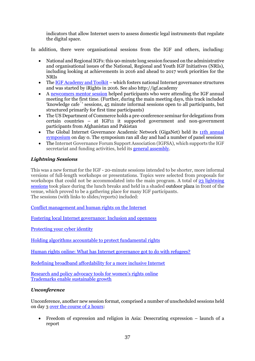indicators that allow Internet users to assess domestic legal instruments that regulate the digital space.

In addition, there were organisational sessions from the IGF and others, including:

- National and Regional IGFs: this 90-minute long session focused on the administrative and organisational issues of the National, Regional and Youth IGF Initiatives (NRIs), including looking at achievements in 2016 and ahead to 2017 work priorities for the NRIs
- The [IGF Academy and Toolkit](file:///C:/Users/mazzucchi/Desktop/MAG%20Docs%20+%20Other/igf%202016%20book/completed%20book/IGF%20Academy%20and%20Toolkit) which fosters national Internet governance structures and was started by iRights in 2016. See also http://igf.academy
- A [newcomers mentor session](http://www.intgovforum.org/multilingual/content/igf-2016-day-0-room-6-newcomers-track) helped participants who were attending the IGF annual meeting for the first time. (Further, during the main meeting days, this track included 'knowledge café' sessions, 45 minute informal sessions open to all participants, but structured primarily for first time participants)
- The US Department of Commerce holds a pre-conference seminar for delegations from certain countries – at IGF11 it supported government and non-government participants from Afghanistan and Pakistan
- The Global Internet Governance Academic Network (GigaNet) held its 11th annual [symposium](http://www.intgovforum.org/multilingual/content/igf-2016-day-0-room-4-giganet-annual-symposium-participation-transparency-responsibility) on day 0. The symposium ran all day and had a number of panel sessions
- The Internet Governance Forum Support Association (IGFSA), which supports the IGF secretariat and funding activities, held its [general assembly.](http://www.intgovforum.org/multilingual/content/igf-2016-day-0-room-7-igfsa-general-assembly)

#### *Lightning Sessions*

This was a new format for the IGF - 20-minute sessions intended to be shorter, more informal versions of full-length workshops or presentations. Topics were selected from proposals for workshops that could not be accommodated into the main program. A total of  $23$  lightning [sessions](https://igf2016.sched.com/overview/type/IGF+NEW+SESSION+FORMAT?iframe=no&w=100%25&sidebar=yes&bg=no) took place during the lunch breaks and held in a shaded outdoor plaza in front of the venue, which proved to be a gathering place for many IGF participants. The sessions (with links to slides/reports) included:

[Conflict management and human rights on the Internet](http://www.intgovforum.org/multilingual/filedepot_download/4183/386)

[Fostering local Internet governance: Inclusion and openness](http://www.intgovforum.org/multilingual/filedepot_download/4183/388)

[Protecting your](http://www.intgovforum.org/multilingual/filedepot_download/4183/389) cyber identity

[Holding algorithms accountable to protect fundamental rights](http://www.intgovforum.org/multilingual/filedepot_download/4183/390) 

[Human rights online: What has Internet governance got to do with refugees?](http://www.intgovforum.org/multilingual/filedepot_download/4183/391)

[Redefining broadband affordability for a more inclusive Internet](http://www.intgovforum.org/multilingual/filedepot_download/4183/394) 

[Research and policy advocacy](http://www.intgovforum.org/multilingual/filedepot_download/4183/395) tools for women's rights online [Trademarks enable sustainable](http://www.intgovforum.org/multilingual/filedepot_download/4183/451) growth

#### *Unconference*

Unconference, another new session format, comprised a number of unscheduled sessions held on day [3 over the course of 2 hours:](http://www.intgovforum.org/multilingual/content/igf-2016-day-3-room-5-new-session-format-unconference)

 Freedom of expression and religion in Asia: Desecrating expression – launch of a report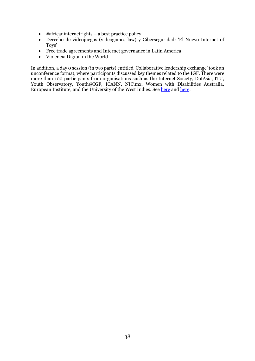- $\bullet$  #africaninternetrights a best practice policy
- Derecho de videojuegos (videogames law) y Ciberseguridad: 'El Nuevo Internet of Toys'
- Free trade agreements and Internet governance in Latin America
- Violencia Digital in the World

In addition, a day 0 session (in two parts) entitled 'Collaborative leadership exchange' took an unconference format, where participants discussed key themes related to the IGF. There were more than 100 participants from organisations such as the Internet Society, DotAsia, ITU, Youth Observatory, Youth@IGF, ICANN, NIC.mx, Women with Disabilities Australia, European Institute, and the University of the West Indies. See [here](http://intgovforum.org/multilingual/content/igf-2016-day-0-room-1-isoc-collaborative-leadership-exchange-afternoon) and [here.](http://intgovforum.org/multilingual/content/igf-2016-day-0-room-1-isoc-collaborative-leadership-exchange-afternoon)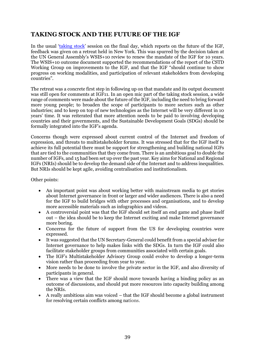## **TAKING STOCK AND THE FUTURE OF THE IGF**

In the usual '[taking stock](http://intgovforum.org/multilingual/content/igf-2016-day-4-main-hall-taking-stock-emerging-issues-future-of-the-igf)' session on the final day, which reports on the future of the IGF, feedback was given on a retreat held in New York. This was spurred by the decision taken at the UN General Assembly's WSIS+10 review to renew the mandate of the IGF for 10 years. The WSIS+10 outcome document supported the recommendations of the report of the CSTD Working Group on improvements to the IGF, and that the IGF "should continue to show progress on working modalities, and participation of relevant stakeholders from developing countries".

The retreat was a concrete first step in following up on that mandate and its output document was still open for comments at IGF11. In an open mic part of the taking stock session, a wide range of comments were made about the future of the IGF, including the need to bring forward more young people; to broaden the scope of participants to more sectors such as other industries; and to keep on top of new technologies as the Internet will be very different in 10 years' time. It was reiterated that more attention needs to be paid to involving developing countries and their governments, and the Sustainable Development Goals (SDGs) should be formally integrated into the IGF's agenda.

Concerns though were expressed about current control of the Internet and freedom of expression, and threats to multistakeholder forums. It was stressed that for the IGF itself to achieve its full potential there must be support for strengthening and building national IGFs that are tied to the communities that they come from. There is an ambitious goal to double the number of IGFs, and 15 had been set up over the past year. Key aims for National and Regional IGFs (NRIs) should be to develop the demand side of the Internet and to address inequalities. But NRIs should be kept agile, avoiding centralisation and institutionalism.

Other points:

- An important point was about working better with mainstream media to get stories about Internet governance in front or larger and wider audiences. There is also a need for the IGF to build bridges with other processes and organisations, and to develop more accessible materials such as infographics and videos.
- A controversial point was that the IGF should set itself an end game and phase itself out – the idea should be to keep the Internet exciting and make Internet governance more boring.
- Concerns for the future of support from the US for developing countries were expressed.
- It was suggested that the UN Secretary-General could benefit from a special adviser for Internet governance to help makes links with the SDGs. In turn the IGF could also facilitate stakeholder groups from communities associated with certain goals.
- The IGF's Multistakeholder Advisory Group could evolve to develop a longer-term vision rather than proceeding from year to year.
- More needs to be done to involve the private sector in the IGF, and also diversity of participants in general.
- There was a view that the IGF should move towards having a binding policy as an outcome of discussions, and should put more resources into capacity building among the NRIs.
- A really ambitious aim was voiced that the IGF should become a global instrument for resolving certain conflicts among nations.